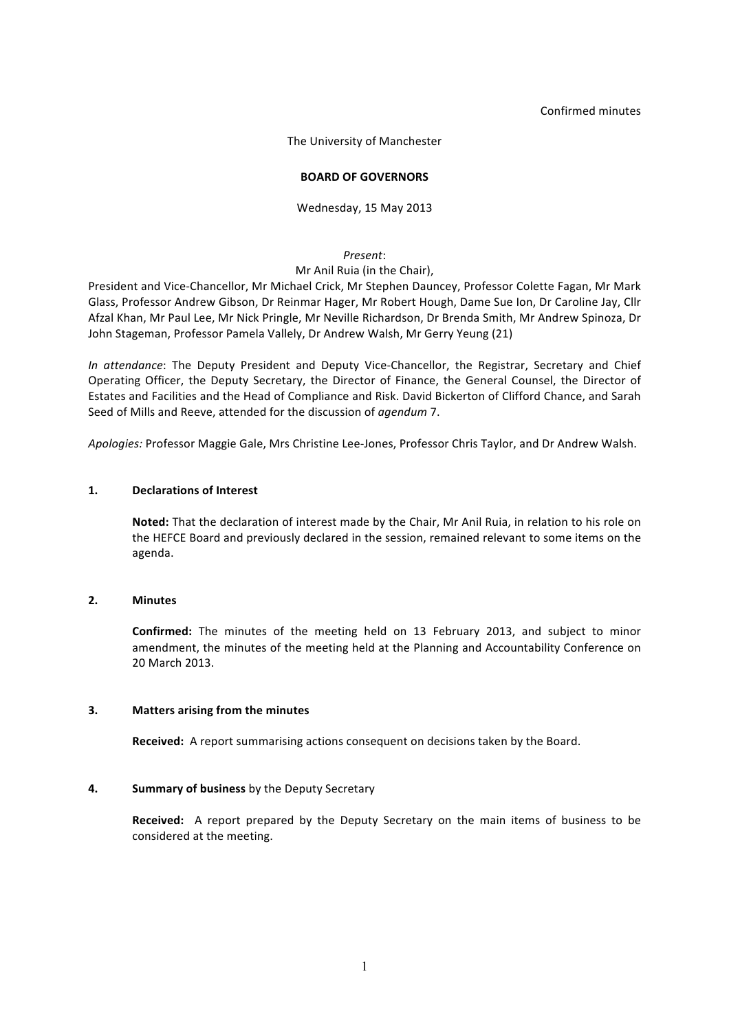Confirmed minutes

The University of Manchester

# **BOARD OF GOVERNORS**

Wednesday, 15 May 2013

*Present*:

#### Mr Anil Ruia (in the Chair),

President and Vice-Chancellor, Mr Michael Crick, Mr Stephen Dauncey, Professor Colette Fagan, Mr Mark Glass, Professor Andrew Gibson, Dr Reinmar Hager, Mr Robert Hough, Dame Sue Ion, Dr Caroline Jay, Cllr Afzal Khan, Mr Paul Lee, Mr Nick Pringle, Mr Neville Richardson, Dr Brenda Smith, Mr Andrew Spinoza, Dr John Stageman, Professor Pamela Vallely, Dr Andrew Walsh, Mr Gerry Yeung (21)

*In attendance*: The Deputy President and Deputy Vice-Chancellor, the Registrar, Secretary and Chief Operating Officer, the Deputy Secretary, the Director of Finance, the General Counsel, the Director of Estates and Facilities and the Head of Compliance and Risk. David Bickerton of Clifford Chance, and Sarah Seed of Mills and Reeve, attended for the discussion of *gaendum* 7.

Apologies: Professor Maggie Gale, Mrs Christine Lee-Jones, Professor Chris Taylor, and Dr Andrew Walsh.

# 1. **Declarations of Interest**

**Noted:** That the declaration of interest made by the Chair, Mr Anil Ruia, in relation to his role on the HEFCE Board and previously declared in the session, remained relevant to some items on the agenda.

# **2. Minutes**

**Confirmed:** The minutes of the meeting held on 13 February 2013, and subject to minor amendment, the minutes of the meeting held at the Planning and Accountability Conference on 20 March 2013.

# **3. Matters arising from the minutes**

**Received:** A report summarising actions consequent on decisions taken by the Board.

# **4. Summary of business** by the Deputy Secretary

**Received:** A report prepared by the Deputy Secretary on the main items of business to be considered at the meeting.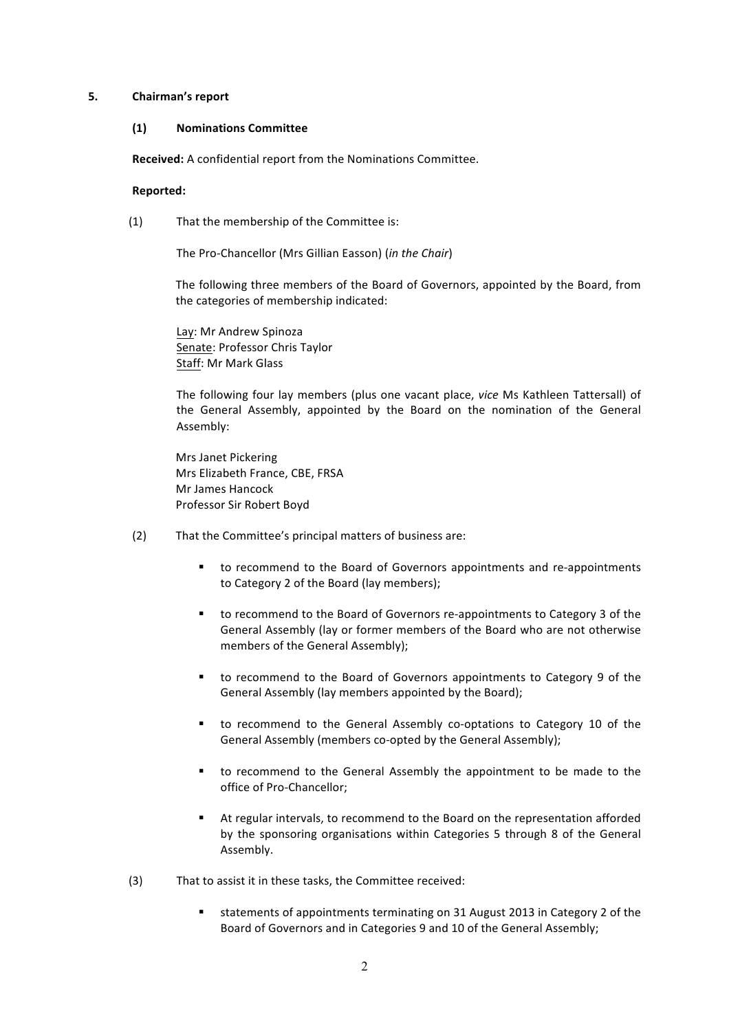#### **5. Chairman's report**

#### **(1) Nominations Committee**

**Received:** A confidential report from the Nominations Committee.

#### **Reported:**

(1) That the membership of the Committee is:

The Pro-Chancellor (Mrs Gillian Easson) (*in the Chair*)

The following three members of the Board of Governors, appointed by the Board, from the categories of membership indicated:

Lay: Mr Andrew Spinoza Senate: Professor Chris Taylor Staff: Mr Mark Glass

The following four lay members (plus one vacant place, *vice* Ms Kathleen Tattersall) of the General Assembly, appointed by the Board on the nomination of the General Assembly:

Mrs Janet Pickering Mrs Elizabeth France, CBE, FRSA Mr James Hancock Professor Sir Robert Boyd

- (2) That the Committee's principal matters of business are:
	- to recommend to the Board of Governors appointments and re-appointments to Category 2 of the Board (lay members);
	- to recommend to the Board of Governors re-appointments to Category 3 of the General Assembly (lay or former members of the Board who are not otherwise members of the General Assembly);
	- to recommend to the Board of Governors appointments to Category 9 of the General Assembly (lay members appointed by the Board);
	- to recommend to the General Assembly co-optations to Category 10 of the General Assembly (members co-opted by the General Assembly);
	- to recommend to the General Assembly the appointment to be made to the office of Pro-Chancellor:
	- At regular intervals, to recommend to the Board on the representation afforded by the sponsoring organisations within Categories 5 through 8 of the General Assembly.
- (3) That to assist it in these tasks, the Committee received:
	- statements of appointments terminating on 31 August 2013 in Category 2 of the Board of Governors and in Categories 9 and 10 of the General Assembly;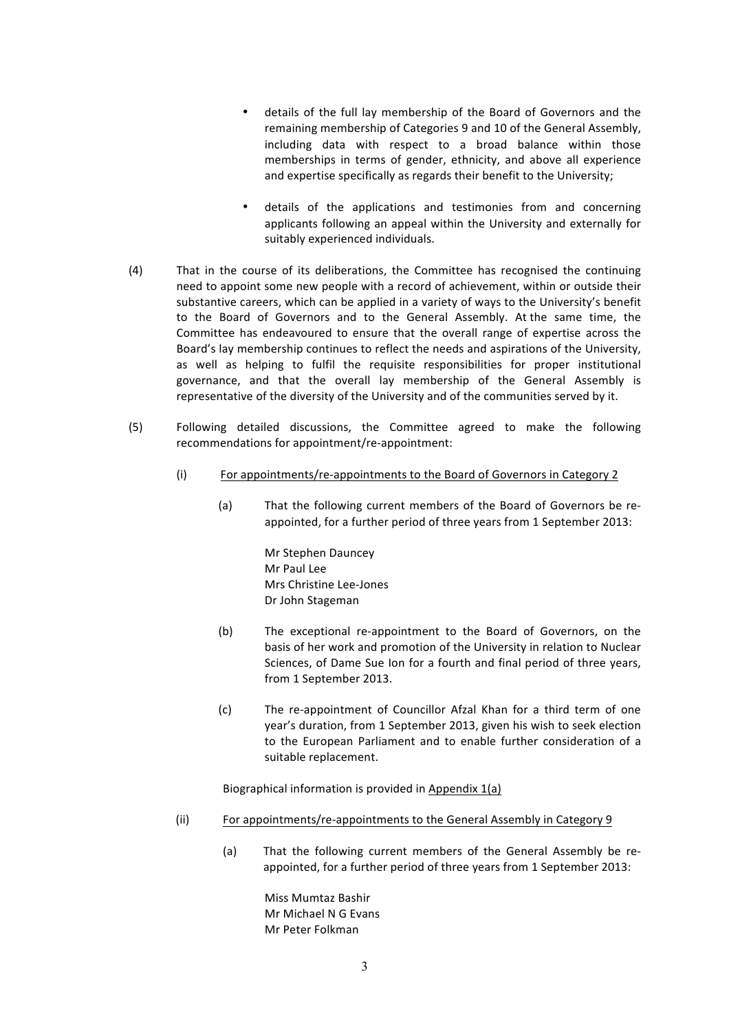- details of the full lay membership of the Board of Governors and the remaining membership of Categories 9 and 10 of the General Assembly, including data with respect to a broad balance within those memberships in terms of gender, ethnicity, and above all experience and expertise specifically as regards their benefit to the University;
- details of the applications and testimonies from and concerning applicants following an appeal within the University and externally for suitably experienced individuals.
- (4) That in the course of its deliberations, the Committee has recognised the continuing need to appoint some new people with a record of achievement, within or outside their substantive careers, which can be applied in a variety of ways to the University's benefit to the Board of Governors and to the General Assembly. At the same time, the Committee has endeavoured to ensure that the overall range of expertise across the Board's lay membership continues to reflect the needs and aspirations of the University, as well as helping to fulfil the requisite responsibilities for proper institutional governance, and that the overall lay membership of the General Assembly is representative of the diversity of the University and of the communities served by it.
- (5) Following detailed discussions, the Committee agreed to make the following recommendations for appointment/re-appointment:
	- (i) For appointments/re-appointments to the Board of Governors in Category 2
		- (a) That the following current members of the Board of Governors be reappointed, for a further period of three years from 1 September 2013:

Mr Stephen Dauncey Mr Paul Lee Mrs Christine Lee-Jones Dr John Stageman

- (b) The exceptional re-appointment to the Board of Governors, on the basis of her work and promotion of the University in relation to Nuclear Sciences, of Dame Sue Ion for a fourth and final period of three years, from 1 September 2013.
- (c) The re-appointment of Councillor Afzal Khan for a third term of one year's duration, from 1 September 2013, given his wish to seek election to the European Parliament and to enable further consideration of a suitable replacement.

Biographical information is provided in Appendix  $1(a)$ 

- (ii) For appointments/re-appointments to the General Assembly in Category 9
	- (a) That the following current members of the General Assembly be reappointed, for a further period of three years from 1 September 2013:

Miss Mumtaz Bashir Mr Michael N G Evans Mr Peter Folkman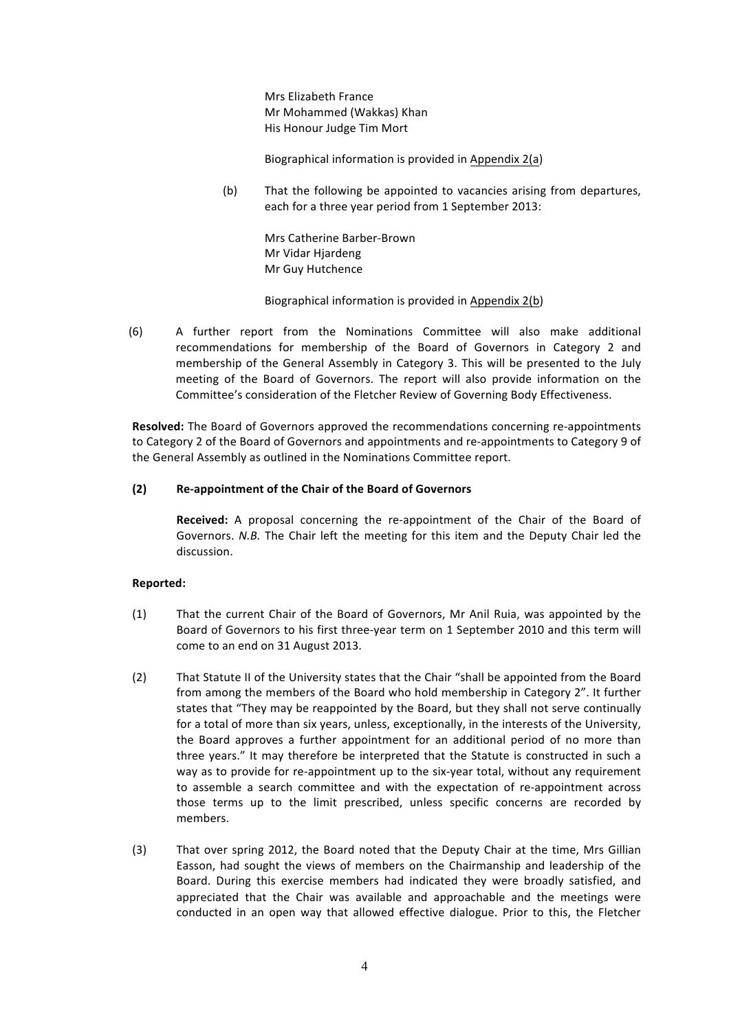Mrs Elizabeth France Mr Mohammed (Wakkas) Khan His Honour Judge Tim Mort

Biographical information is provided in Appendix 2(a)

(b) That the following be appointed to vacancies arising from departures, each for a three vear period from 1 September 2013:

> Mrs Catherine Barber-Brown Mr Vidar Hjardeng Mr Guy Hutchence

Biographical information is provided in Appendix 2(b)

(6) A further report from the Nominations Committee will also make additional recommendations for membership of the Board of Governors in Category 2 and membership of the General Assembly in Category 3. This will be presented to the July meeting of the Board of Governors. The report will also provide information on the Committee's consideration of the Fletcher Review of Governing Body Effectiveness.

**Resolved:** The Board of Governors approved the recommendations concerning re-appointments to Category 2 of the Board of Governors and appointments and re-appointments to Category 9 of the General Assembly as outlined in the Nominations Committee report.

# **(2) Re-appointment of the Chair of the Board of Governors**

**Received:** A proposal concerning the re-appointment of the Chair of the Board of Governors. *N.B.* The Chair left the meeting for this item and the Deputy Chair led the discussion.

# **Reported:**

- (1) That the current Chair of the Board of Governors, Mr Anil Ruia, was appointed by the Board of Governors to his first three-year term on 1 September 2010 and this term will come to an end on 31 August 2013.
- (2) That Statute II of the University states that the Chair "shall be appointed from the Board from among the members of the Board who hold membership in Category 2". It further states that "They may be reappointed by the Board, but they shall not serve continually for a total of more than six years, unless, exceptionally, in the interests of the University, the Board approves a further appointment for an additional period of no more than three years." It may therefore be interpreted that the Statute is constructed in such a way as to provide for re-appointment up to the six-year total, without any requirement to assemble a search committee and with the expectation of re-appointment across those terms up to the limit prescribed, unless specific concerns are recorded by members.
- (3) That over spring 2012, the Board noted that the Deputy Chair at the time, Mrs Gillian Easson, had sought the views of members on the Chairmanship and leadership of the Board. During this exercise members had indicated they were broadly satisfied, and appreciated that the Chair was available and approachable and the meetings were conducted in an open way that allowed effective dialogue. Prior to this, the Fletcher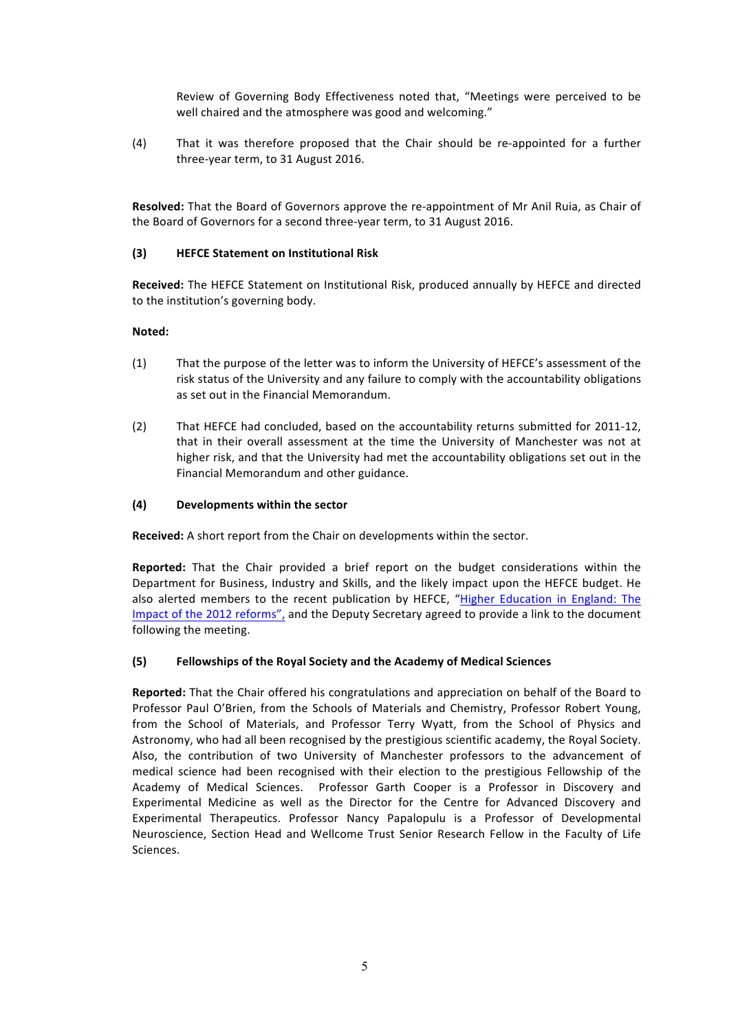Review of Governing Body Effectiveness noted that, "Meetings were perceived to be well chaired and the atmosphere was good and welcoming."

(4) That it was therefore proposed that the Chair should be re-appointed for a further three-year term, to 31 August 2016.

**Resolved:** That the Board of Governors approve the re-appointment of Mr Anil Ruia, as Chair of the Board of Governors for a second three-year term, to 31 August 2016.

# **(3) HEFCE Statement on Institutional Risk**

**Received:** The HEFCE Statement on Institutional Risk, produced annually by HEFCE and directed to the institution's governing body.

# **Noted:**

- (1) That the purpose of the letter was to inform the University of HEFCE's assessment of the risk status of the University and any failure to comply with the accountability obligations as set out in the Financial Memorandum.
- (2) That HEFCE had concluded, based on the accountability returns submitted for 2011-12, that in their overall assessment at the time the University of Manchester was not at higher risk, and that the University had met the accountability obligations set out in the Financial Memorandum and other guidance.

# **(4) Developments within the sector**

**Received:** A short report from the Chair on developments within the sector.

**Reported:** That the Chair provided a brief report on the budget considerations within the Department for Business, Industry and Skills, and the likely impact upon the HEFCE budget. He also alerted members to the recent publication by HEFCE, "Higher Education in England: The Impact of the 2012 reforms", and the Deputy Secretary agreed to provide a link to the document following the meeting.

# **(5) Fellowships of the Royal Society and the Academy of Medical Sciences**

**Reported:** That the Chair offered his congratulations and appreciation on behalf of the Board to Professor Paul O'Brien, from the Schools of Materials and Chemistry, Professor Robert Young, from the School of Materials, and Professor Terry Wyatt, from the School of Physics and Astronomy, who had all been recognised by the prestigious scientific academy, the Royal Society. Also, the contribution of two University of Manchester professors to the advancement of medical science had been recognised with their election to the prestigious Fellowship of the Academy of Medical Sciences. Professor Garth Cooper is a Professor in Discovery and Experimental Medicine as well as the Director for the Centre for Advanced Discovery and Experimental Therapeutics. Professor Nancy Papalopulu is a Professor of Developmental Neuroscience, Section Head and Wellcome Trust Senior Research Fellow in the Faculty of Life Sciences.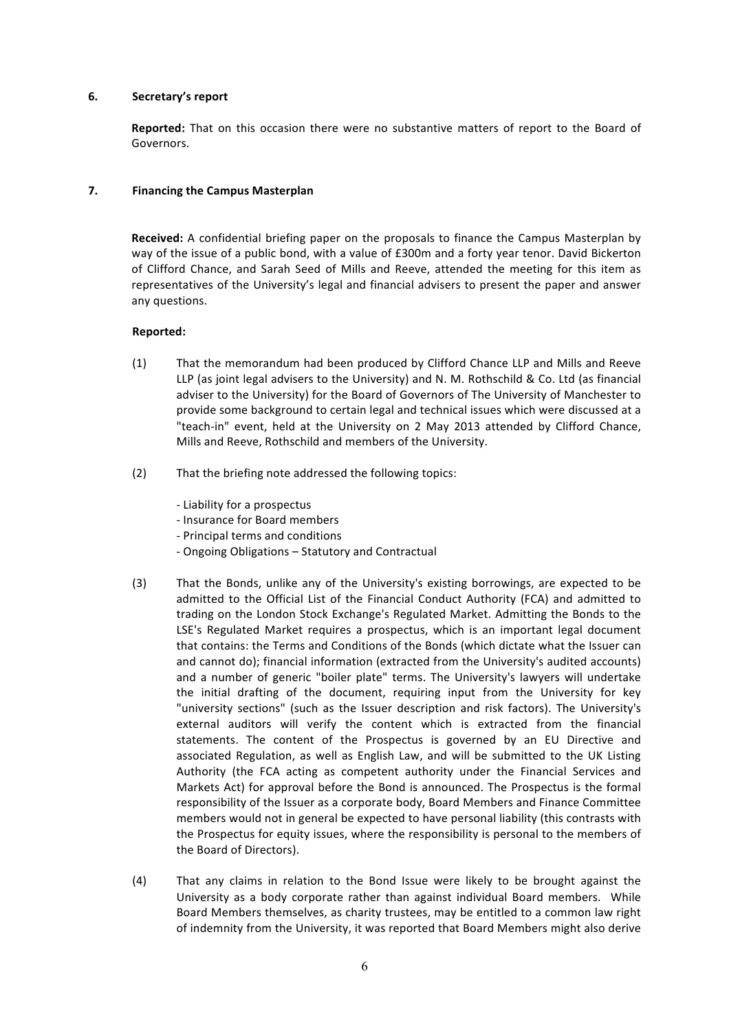# **6. Secretary's report**

**Reported:** That on this occasion there were no substantive matters of report to the Board of Governors.

# **7. Financing the Campus Masterplan**

Received: A confidential briefing paper on the proposals to finance the Campus Masterplan by way of the issue of a public bond, with a value of £300m and a forty year tenor. David Bickerton of Clifford Chance, and Sarah Seed of Mills and Reeve, attended the meeting for this item as representatives of the University's legal and financial advisers to present the paper and answer any questions.

# **Reported:**

- (1) That the memorandum had been produced by Clifford Chance LLP and Mills and Reeve LLP (as joint legal advisers to the University) and N. M. Rothschild & Co. Ltd (as financial adviser to the University) for the Board of Governors of The University of Manchester to provide some background to certain legal and technical issues which were discussed at a "teach-in" event, held at the University on 2 May 2013 attended by Clifford Chance, Mills and Reeve, Rothschild and members of the University.
- (2) That the briefing note addressed the following topics:
	- Liability for a prospectus
	- Insurance for Board members
	- Principal terms and conditions
	- Ongoing Obligations Statutory and Contractual
- (3) That the Bonds, unlike any of the University's existing borrowings, are expected to be admitted to the Official List of the Financial Conduct Authority (FCA) and admitted to trading on the London Stock Exchange's Regulated Market. Admitting the Bonds to the LSE's Regulated Market requires a prospectus, which is an important legal document that contains: the Terms and Conditions of the Bonds (which dictate what the Issuer can and cannot do); financial information (extracted from the University's audited accounts) and a number of generic "boiler plate" terms. The University's lawyers will undertake the initial drafting of the document, requiring input from the University for key "university sections" (such as the Issuer description and risk factors). The University's external auditors will verify the content which is extracted from the financial statements. The content of the Prospectus is governed by an EU Directive and associated Regulation, as well as English Law, and will be submitted to the UK Listing Authority (the FCA acting as competent authority under the Financial Services and Markets Act) for approval before the Bond is announced. The Prospectus is the formal responsibility of the Issuer as a corporate body, Board Members and Finance Committee members would not in general be expected to have personal liability (this contrasts with the Prospectus for equity issues, where the responsibility is personal to the members of the Board of Directors).
- (4) That any claims in relation to the Bond Issue were likely to be brought against the University as a body corporate rather than against individual Board members. While Board Members themselves, as charity trustees, may be entitled to a common law right of indemnity from the University, it was reported that Board Members might also derive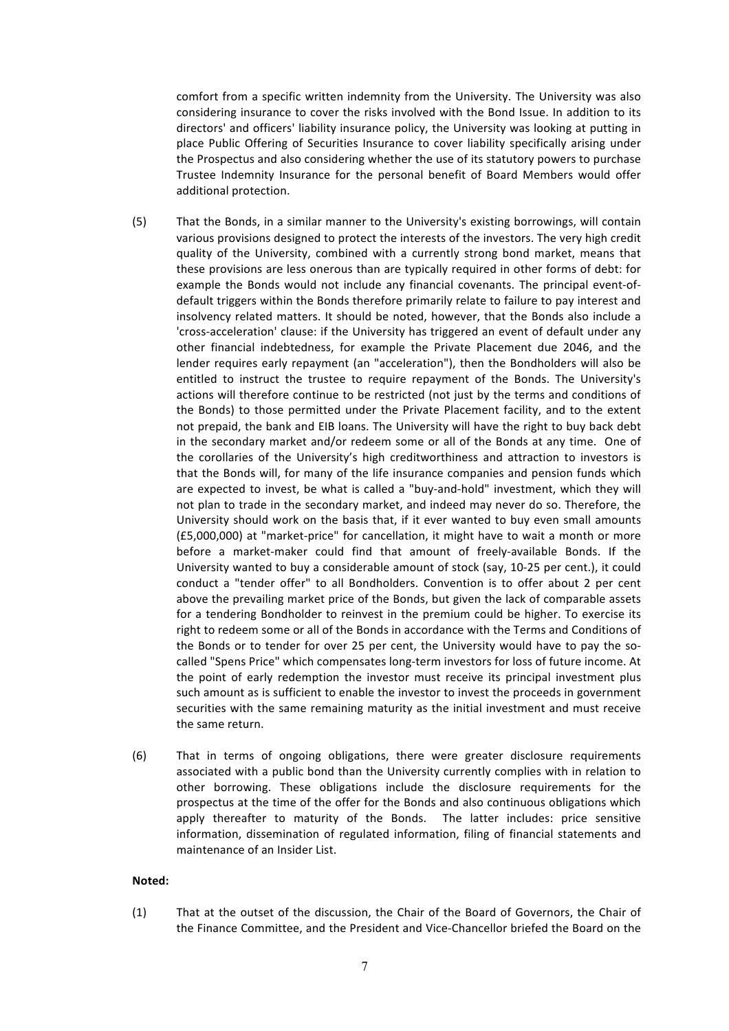comfort from a specific written indemnity from the University. The University was also considering insurance to cover the risks involved with the Bond Issue. In addition to its directors' and officers' liability insurance policy, the University was looking at putting in place Public Offering of Securities Insurance to cover liability specifically arising under the Prospectus and also considering whether the use of its statutory powers to purchase Trustee Indemnity Insurance for the personal benefit of Board Members would offer additional protection.

- (5) That the Bonds, in a similar manner to the University's existing borrowings, will contain various provisions designed to protect the interests of the investors. The very high credit quality of the University, combined with a currently strong bond market, means that these provisions are less onerous than are typically required in other forms of debt: for example the Bonds would not include any financial covenants. The principal event-ofdefault triggers within the Bonds therefore primarily relate to failure to pay interest and insolvency related matters. It should be noted, however, that the Bonds also include a 'cross-acceleration' clause: if the University has triggered an event of default under any other financial indebtedness, for example the Private Placement due 2046, and the lender requires early repayment (an "acceleration"), then the Bondholders will also be entitled to instruct the trustee to require repayment of the Bonds. The University's actions will therefore continue to be restricted (not just by the terms and conditions of the Bonds) to those permitted under the Private Placement facility, and to the extent not prepaid, the bank and EIB loans. The University will have the right to buy back debt in the secondary market and/or redeem some or all of the Bonds at any time. One of the corollaries of the University's high creditworthiness and attraction to investors is that the Bonds will, for many of the life insurance companies and pension funds which are expected to invest, be what is called a "buy-and-hold" investment, which they will not plan to trade in the secondary market, and indeed may never do so. Therefore, the University should work on the basis that, if it ever wanted to buy even small amounts  $(£5,000,000)$  at "market-price" for cancellation, it might have to wait a month or more before a market-maker could find that amount of freely-available Bonds. If the University wanted to buy a considerable amount of stock (say, 10-25 per cent.), it could conduct a "tender offer" to all Bondholders. Convention is to offer about 2 per cent above the prevailing market price of the Bonds, but given the lack of comparable assets for a tendering Bondholder to reinvest in the premium could be higher. To exercise its right to redeem some or all of the Bonds in accordance with the Terms and Conditions of the Bonds or to tender for over 25 per cent, the University would have to pay the socalled "Spens Price" which compensates long-term investors for loss of future income. At the point of early redemption the investor must receive its principal investment plus such amount as is sufficient to enable the investor to invest the proceeds in government securities with the same remaining maturity as the initial investment and must receive the same return.
- (6) That in terms of ongoing obligations, there were greater disclosure requirements associated with a public bond than the University currently complies with in relation to other borrowing. These obligations include the disclosure requirements for the prospectus at the time of the offer for the Bonds and also continuous obligations which apply thereafter to maturity of the Bonds. The latter includes: price sensitive information, dissemination of regulated information, filing of financial statements and maintenance of an Insider List.

#### **Noted:**

(1) That at the outset of the discussion, the Chair of the Board of Governors, the Chair of the Finance Committee, and the President and Vice-Chancellor briefed the Board on the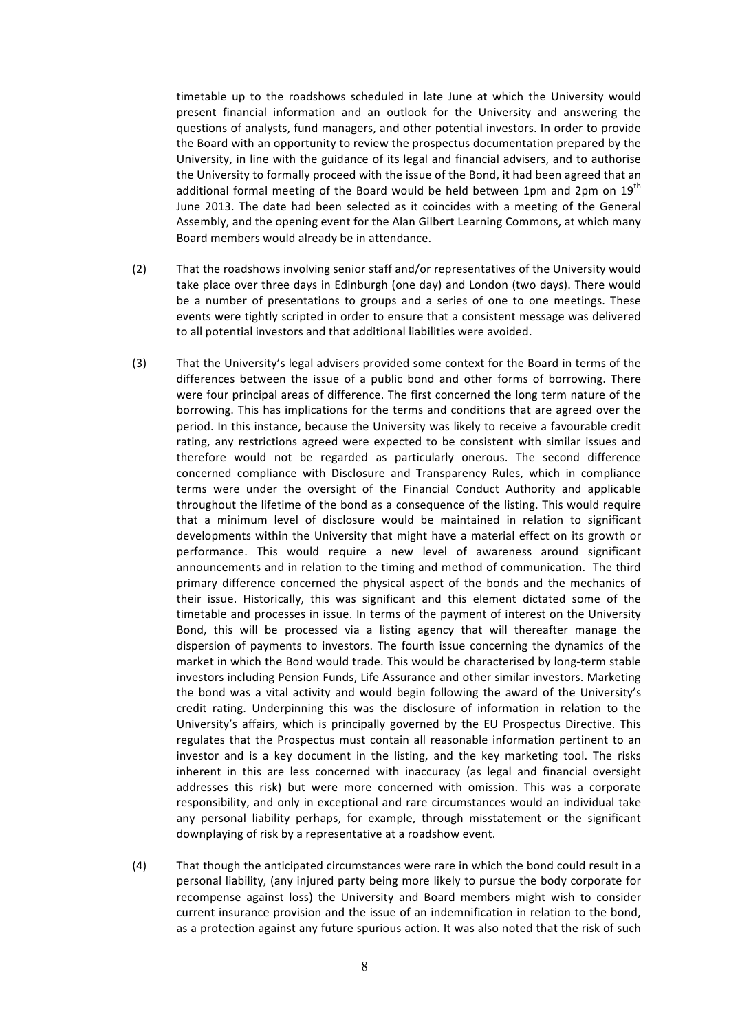timetable up to the roadshows scheduled in late June at which the University would present financial information and an outlook for the University and answering the questions of analysts, fund managers, and other potential investors. In order to provide the Board with an opportunity to review the prospectus documentation prepared by the University, in line with the guidance of its legal and financial advisers, and to authorise the University to formally proceed with the issue of the Bond, it had been agreed that an additional formal meeting of the Board would be held between 1pm and 2pm on  $19^{th}$ June 2013. The date had been selected as it coincides with a meeting of the General Assembly, and the opening event for the Alan Gilbert Learning Commons, at which many Board members would already be in attendance.

- (2) That the roadshows involving senior staff and/or representatives of the University would take place over three days in Edinburgh (one day) and London (two days). There would be a number of presentations to groups and a series of one to one meetings. These events were tightly scripted in order to ensure that a consistent message was delivered to all potential investors and that additional liabilities were avoided.
- (3) That the University's legal advisers provided some context for the Board in terms of the differences between the issue of a public bond and other forms of borrowing. There were four principal areas of difference. The first concerned the long term nature of the borrowing. This has implications for the terms and conditions that are agreed over the period. In this instance, because the University was likely to receive a favourable credit rating, any restrictions agreed were expected to be consistent with similar issues and therefore would not be regarded as particularly onerous. The second difference concerned compliance with Disclosure and Transparency Rules, which in compliance terms were under the oversight of the Financial Conduct Authority and applicable throughout the lifetime of the bond as a consequence of the listing. This would require that a minimum level of disclosure would be maintained in relation to significant developments within the University that might have a material effect on its growth or performance. This would require a new level of awareness around significant announcements and in relation to the timing and method of communication. The third primary difference concerned the physical aspect of the bonds and the mechanics of their issue. Historically, this was significant and this element dictated some of the timetable and processes in issue. In terms of the payment of interest on the University Bond, this will be processed via a listing agency that will thereafter manage the dispersion of payments to investors. The fourth issue concerning the dynamics of the market in which the Bond would trade. This would be characterised by long-term stable investors including Pension Funds, Life Assurance and other similar investors. Marketing the bond was a vital activity and would begin following the award of the University's credit rating. Underpinning this was the disclosure of information in relation to the University's affairs, which is principally governed by the EU Prospectus Directive. This regulates that the Prospectus must contain all reasonable information pertinent to an investor and is a key document in the listing, and the key marketing tool. The risks inherent in this are less concerned with inaccuracy (as legal and financial oversight addresses this risk) but were more concerned with omission. This was a corporate responsibility, and only in exceptional and rare circumstances would an individual take any personal liability perhaps, for example, through misstatement or the significant downplaying of risk by a representative at a roadshow event.
- (4) That though the anticipated circumstances were rare in which the bond could result in a personal liability, (any injured party being more likely to pursue the body corporate for recompense against loss) the University and Board members might wish to consider current insurance provision and the issue of an indemnification in relation to the bond, as a protection against any future spurious action. It was also noted that the risk of such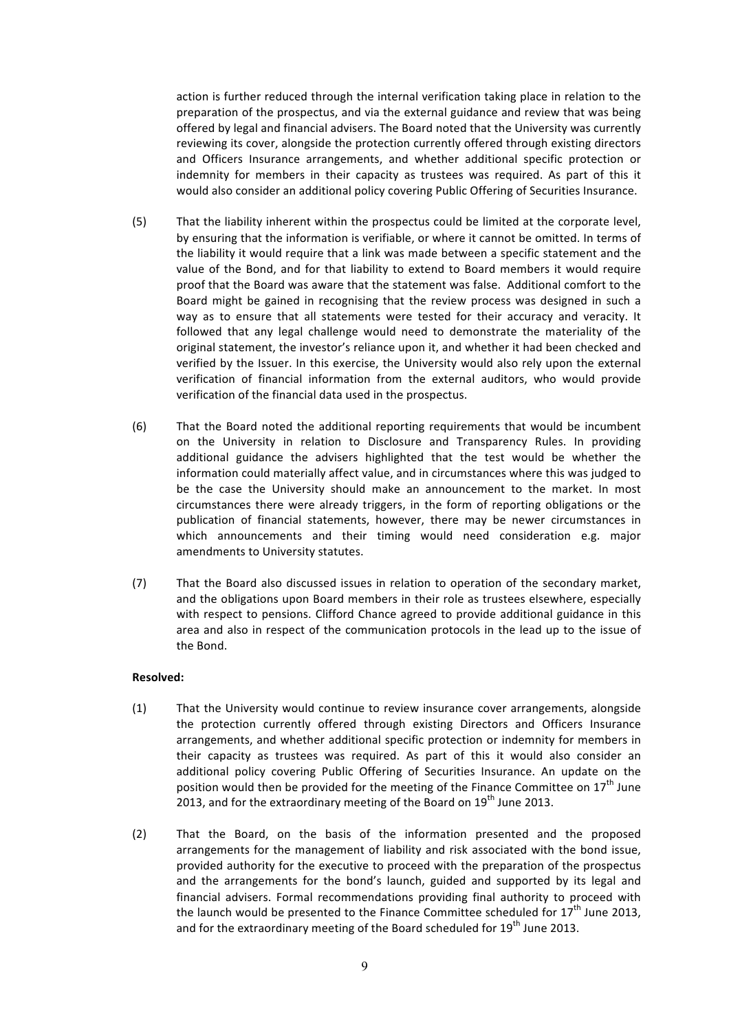action is further reduced through the internal verification taking place in relation to the preparation of the prospectus, and via the external guidance and review that was being offered by legal and financial advisers. The Board noted that the University was currently reviewing its cover, alongside the protection currently offered through existing directors and Officers Insurance arrangements, and whether additional specific protection or indemnity for members in their capacity as trustees was required. As part of this it would also consider an additional policy covering Public Offering of Securities Insurance.

- (5) That the liability inherent within the prospectus could be limited at the corporate level. by ensuring that the information is verifiable, or where it cannot be omitted. In terms of the liability it would require that a link was made between a specific statement and the value of the Bond, and for that liability to extend to Board members it would require proof that the Board was aware that the statement was false. Additional comfort to the Board might be gained in recognising that the review process was designed in such a way as to ensure that all statements were tested for their accuracy and veracity. It followed that any legal challenge would need to demonstrate the materiality of the original statement, the investor's reliance upon it, and whether it had been checked and verified by the Issuer. In this exercise, the University would also rely upon the external verification of financial information from the external auditors, who would provide verification of the financial data used in the prospectus.
- (6) That the Board noted the additional reporting requirements that would be incumbent on the University in relation to Disclosure and Transparency Rules. In providing additional guidance the advisers highlighted that the test would be whether the information could materially affect value, and in circumstances where this was judged to be the case the University should make an announcement to the market. In most circumstances there were already triggers, in the form of reporting obligations or the publication of financial statements, however, there may be newer circumstances in which announcements and their timing would need consideration e.g. major amendments to University statutes.
- (7) That the Board also discussed issues in relation to operation of the secondary market, and the obligations upon Board members in their role as trustees elsewhere, especially with respect to pensions. Clifford Chance agreed to provide additional guidance in this area and also in respect of the communication protocols in the lead up to the issue of the Bond.

# **Resolved:**

- (1) That the University would continue to review insurance cover arrangements, alongside the protection currently offered through existing Directors and Officers Insurance arrangements, and whether additional specific protection or indemnity for members in their capacity as trustees was required. As part of this it would also consider an additional policy covering Public Offering of Securities Insurance. An update on the position would then be provided for the meeting of the Finance Committee on  $17<sup>th</sup>$  June 2013, and for the extraordinary meeting of the Board on  $19<sup>th</sup>$  June 2013.
- (2) That the Board, on the basis of the information presented and the proposed arrangements for the management of liability and risk associated with the bond issue, provided authority for the executive to proceed with the preparation of the prospectus and the arrangements for the bond's launch, guided and supported by its legal and financial advisers. Formal recommendations providing final authority to proceed with the launch would be presented to the Finance Committee scheduled for  $17<sup>th</sup>$  June 2013, and for the extraordinary meeting of the Board scheduled for  $19^{th}$  June 2013.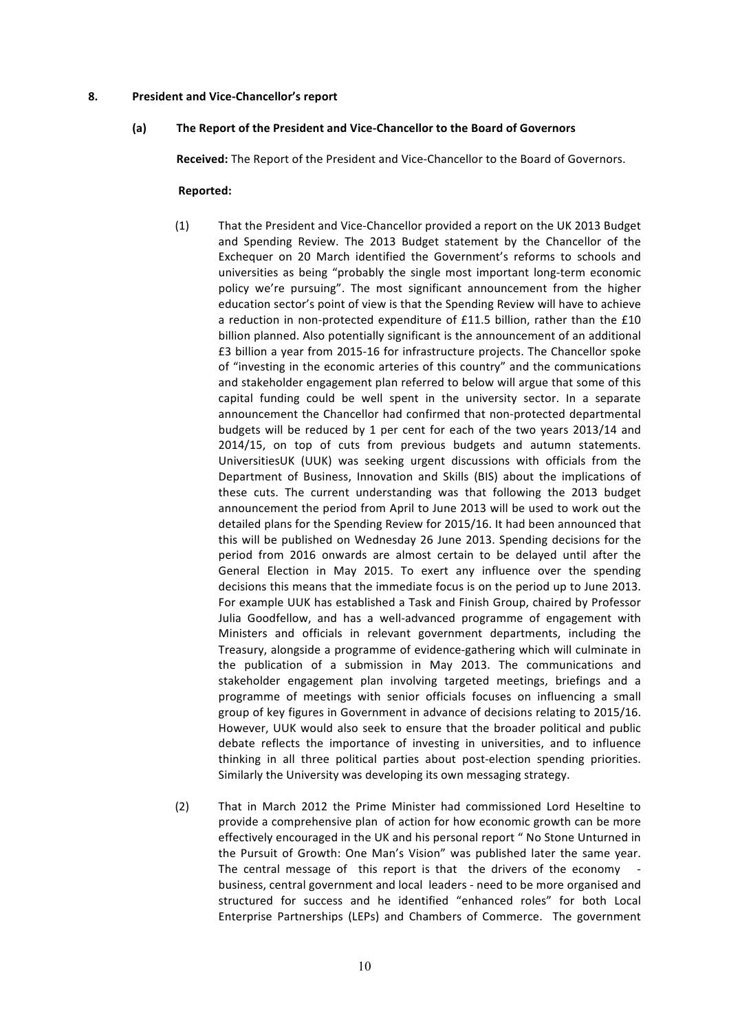#### **8.** President and Vice-Chancellor's report

#### (a) The Report of the President and Vice-Chancellor to the Board of Governors

Received: The Report of the President and Vice-Chancellor to the Board of Governors.

#### **Reported:**

- (1) That the President and Vice-Chancellor provided a report on the UK 2013 Budget and Spending Review. The 2013 Budget statement by the Chancellor of the Exchequer on 20 March identified the Government's reforms to schools and universities as being "probably the single most important long-term economic policy we're pursuing". The most significant announcement from the higher education sector's point of view is that the Spending Review will have to achieve a reduction in non-protected expenditure of £11.5 billion, rather than the £10 billion planned. Also potentially significant is the announcement of an additional £3 billion a year from 2015-16 for infrastructure projects. The Chancellor spoke of "investing in the economic arteries of this country" and the communications and stakeholder engagement plan referred to below will argue that some of this capital funding could be well spent in the university sector. In a separate announcement the Chancellor had confirmed that non-protected departmental budgets will be reduced by 1 per cent for each of the two years  $2013/14$  and 2014/15, on top of cuts from previous budgets and autumn statements. UniversitiesUK (UUK) was seeking urgent discussions with officials from the Department of Business, Innovation and Skills (BIS) about the implications of these cuts. The current understanding was that following the 2013 budget announcement the period from April to June 2013 will be used to work out the detailed plans for the Spending Review for 2015/16. It had been announced that this will be published on Wednesday 26 June 2013. Spending decisions for the period from 2016 onwards are almost certain to be delayed until after the General Election in May 2015. To exert any influence over the spending decisions this means that the immediate focus is on the period up to June 2013. For example UUK has established a Task and Finish Group, chaired by Professor Julia Goodfellow, and has a well-advanced programme of engagement with Ministers and officials in relevant government departments, including the Treasury, alongside a programme of evidence-gathering which will culminate in the publication of a submission in May 2013. The communications and stakeholder engagement plan involving targeted meetings, briefings and a programme of meetings with senior officials focuses on influencing a small group of key figures in Government in advance of decisions relating to 2015/16. However, UUK would also seek to ensure that the broader political and public debate reflects the importance of investing in universities, and to influence thinking in all three political parties about post-election spending priorities. Similarly the University was developing its own messaging strategy.
- (2) That in March 2012 the Prime Minister had commissioned Lord Heseltine to provide a comprehensive plan of action for how economic growth can be more effectively encouraged in the UK and his personal report " No Stone Unturned in the Pursuit of Growth: One Man's Vision" was published later the same year. The central message of this report is that the drivers of the economy business, central government and local leaders - need to be more organised and structured for success and he identified "enhanced roles" for both Local Enterprise Partnerships (LEPs) and Chambers of Commerce. The government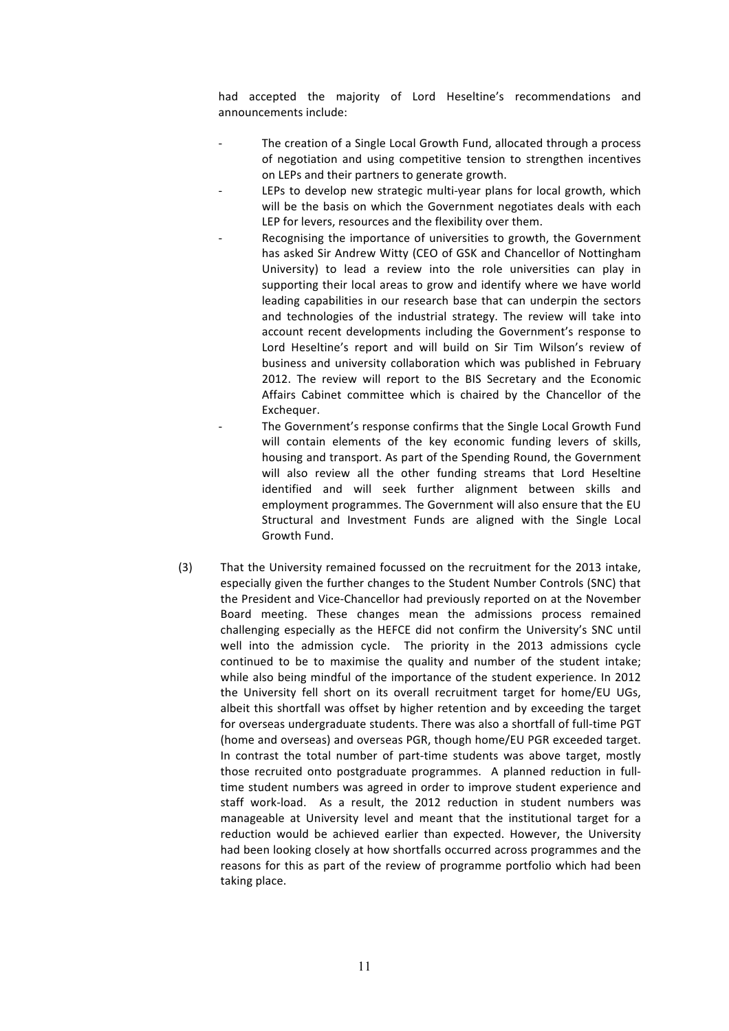had accepted the majority of Lord Heseltine's recommendations and announcements include:

- The creation of a Single Local Growth Fund, allocated through a process of negotiation and using competitive tension to strengthen incentives on LEPs and their partners to generate growth.
- LEPs to develop new strategic multi-year plans for local growth, which will be the basis on which the Government negotiates deals with each LEP for levers, resources and the flexibility over them.
- Recognising the importance of universities to growth, the Government has asked Sir Andrew Witty (CEO of GSK and Chancellor of Nottingham University) to lead a review into the role universities can play in supporting their local areas to grow and identify where we have world leading capabilities in our research base that can underpin the sectors and technologies of the industrial strategy. The review will take into account recent developments including the Government's response to Lord Heseltine's report and will build on Sir Tim Wilson's review of business and university collaboration which was published in February 2012. The review will report to the BIS Secretary and the Economic Affairs Cabinet committee which is chaired by the Chancellor of the Exchequer.
	- The Government's response confirms that the Single Local Growth Fund will contain elements of the key economic funding levers of skills, housing and transport. As part of the Spending Round, the Government will also review all the other funding streams that Lord Heseltine identified and will seek further alignment between skills and employment programmes. The Government will also ensure that the EU Structural and Investment Funds are aligned with the Single Local Growth Fund.
- (3) That the University remained focussed on the recruitment for the 2013 intake. especially given the further changes to the Student Number Controls (SNC) that the President and Vice-Chancellor had previously reported on at the November Board meeting. These changes mean the admissions process remained challenging especially as the HEFCE did not confirm the University's SNC until well into the admission cycle. The priority in the 2013 admissions cycle continued to be to maximise the quality and number of the student intake; while also being mindful of the importance of the student experience. In 2012 the University fell short on its overall recruitment target for home/EU UGs, albeit this shortfall was offset by higher retention and by exceeding the target for overseas undergraduate students. There was also a shortfall of full-time PGT (home and overseas) and overseas PGR, though home/EU PGR exceeded target. In contrast the total number of part-time students was above target, mostly those recruited onto postgraduate programmes. A planned reduction in fulltime student numbers was agreed in order to improve student experience and staff work-load. As a result, the 2012 reduction in student numbers was manageable at University level and meant that the institutional target for a reduction would be achieved earlier than expected. However, the University had been looking closely at how shortfalls occurred across programmes and the reasons for this as part of the review of programme portfolio which had been taking place.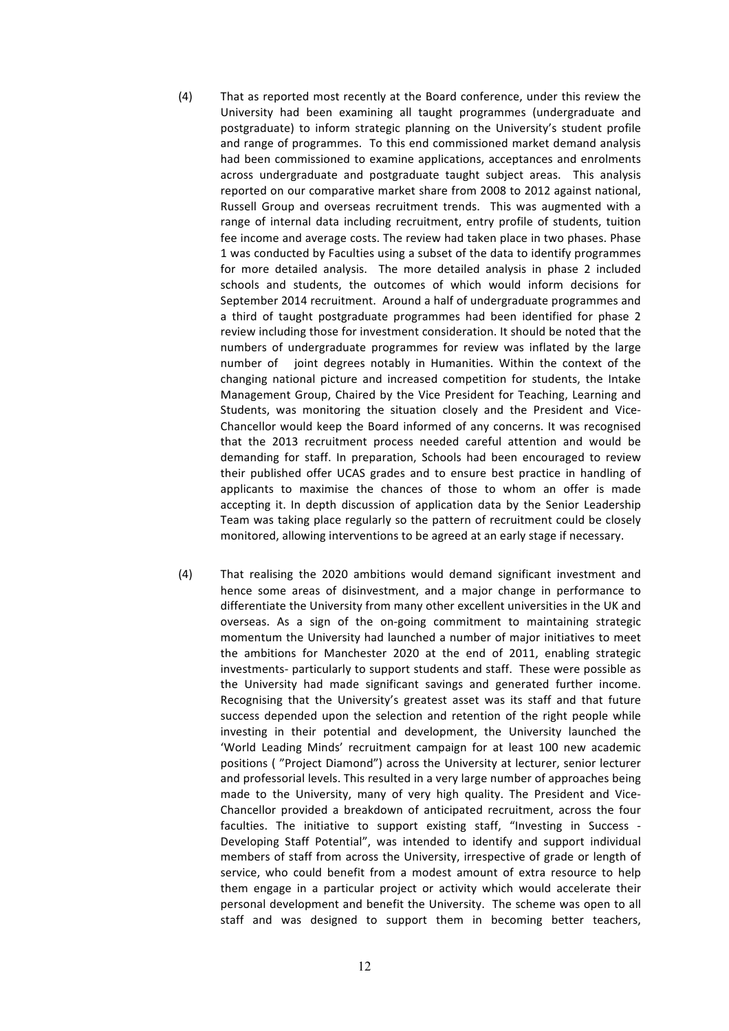- (4) That as reported most recently at the Board conference, under this review the University had been examining all taught programmes (undergraduate and postgraduate) to inform strategic planning on the University's student profile and range of programmes. To this end commissioned market demand analysis had been commissioned to examine applications, acceptances and enrolments across undergraduate and postgraduate taught subject areas. This analysis reported on our comparative market share from 2008 to 2012 against national, Russell Group and overseas recruitment trends. This was augmented with a range of internal data including recruitment, entry profile of students, tuition fee income and average costs. The review had taken place in two phases. Phase 1 was conducted by Faculties using a subset of the data to identify programmes for more detailed analysis. The more detailed analysis in phase 2 included schools and students, the outcomes of which would inform decisions for September 2014 recruitment. Around a half of undergraduate programmes and a third of taught postgraduate programmes had been identified for phase 2 review including those for investment consideration. It should be noted that the numbers of undergraduate programmes for review was inflated by the large number of joint degrees notably in Humanities. Within the context of the changing national picture and increased competition for students, the Intake Management Group, Chaired by the Vice President for Teaching, Learning and Students, was monitoring the situation closely and the President and Vice-Chancellor would keep the Board informed of any concerns. It was recognised that the 2013 recruitment process needed careful attention and would be demanding for staff. In preparation, Schools had been encouraged to review their published offer UCAS grades and to ensure best practice in handling of applicants to maximise the chances of those to whom an offer is made accepting it. In depth discussion of application data by the Senior Leadership Team was taking place regularly so the pattern of recruitment could be closely monitored, allowing interventions to be agreed at an early stage if necessary.
- (4) That realising the 2020 ambitions would demand significant investment and hence some areas of disinvestment, and a major change in performance to differentiate the University from many other excellent universities in the UK and overseas. As a sign of the on-going commitment to maintaining strategic momentum the University had launched a number of major initiatives to meet the ambitions for Manchester 2020 at the end of 2011, enabling strategic investments- particularly to support students and staff. These were possible as the University had made significant savings and generated further income. Recognising that the University's greatest asset was its staff and that future success depended upon the selection and retention of the right people while investing in their potential and development, the University launched the 'World Leading Minds' recruitment campaign for at least 100 new academic positions ( "Project Diamond") across the University at lecturer, senior lecturer and professorial levels. This resulted in a very large number of approaches being made to the University, many of very high quality. The President and Vice-Chancellor provided a breakdown of anticipated recruitment, across the four faculties. The initiative to support existing staff, "Investing in Success -Developing Staff Potential", was intended to identify and support individual members of staff from across the University, irrespective of grade or length of service, who could benefit from a modest amount of extra resource to help them engage in a particular project or activity which would accelerate their personal development and benefit the University. The scheme was open to all staff and was designed to support them in becoming better teachers,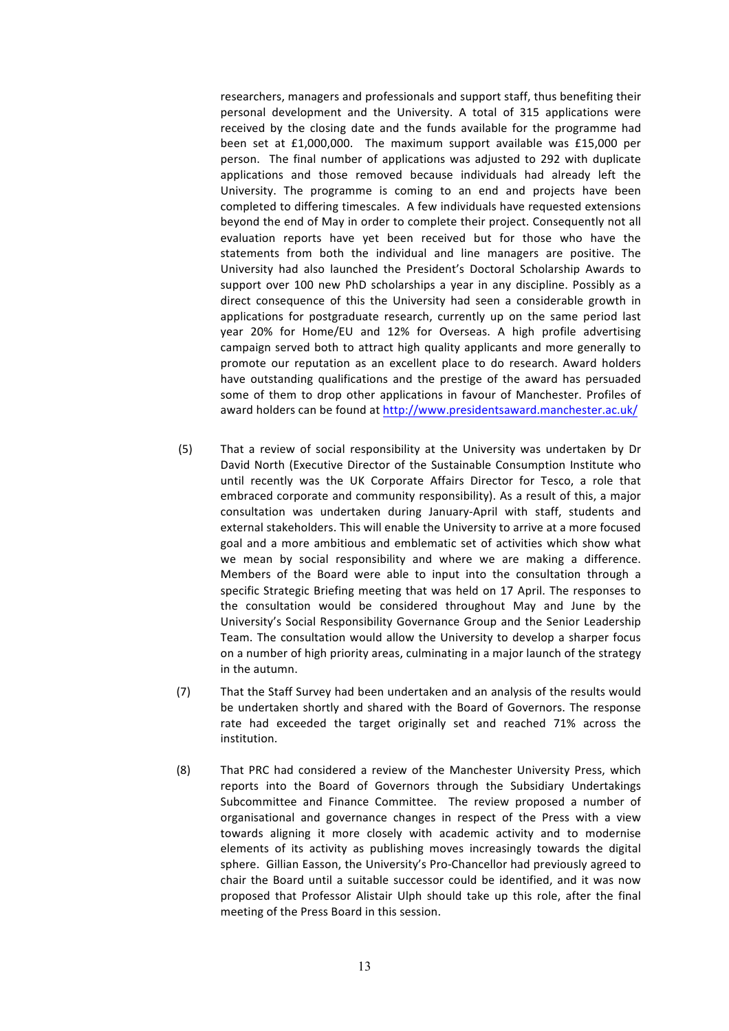researchers, managers and professionals and support staff, thus benefiting their personal development and the University. A total of 315 applications were received by the closing date and the funds available for the programme had been set at  $£1,000,000$ . The maximum support available was  $£15,000$  per person. The final number of applications was adjusted to 292 with duplicate applications and those removed because individuals had already left the University. The programme is coming to an end and projects have been completed to differing timescales. A few individuals have requested extensions beyond the end of May in order to complete their project. Consequently not all evaluation reports have yet been received but for those who have the statements from both the individual and line managers are positive. The University had also launched the President's Doctoral Scholarship Awards to support over 100 new PhD scholarships a year in any discipline. Possibly as a direct consequence of this the University had seen a considerable growth in applications for postgraduate research, currently up on the same period last year 20% for Home/EU and 12% for Overseas. A high profile advertising campaign served both to attract high quality applicants and more generally to promote our reputation as an excellent place to do research. Award holders have outstanding qualifications and the prestige of the award has persuaded some of them to drop other applications in favour of Manchester. Profiles of award holders can be found at http://www.presidentsaward.manchester.ac.uk/

- (5) That a review of social responsibility at the University was undertaken by Dr David North (Executive Director of the Sustainable Consumption Institute who until recently was the UK Corporate Affairs Director for Tesco, a role that embraced corporate and community responsibility). As a result of this, a major consultation was undertaken during January-April with staff, students and external stakeholders. This will enable the University to arrive at a more focused goal and a more ambitious and emblematic set of activities which show what we mean by social responsibility and where we are making a difference. Members of the Board were able to input into the consultation through a specific Strategic Briefing meeting that was held on 17 April. The responses to the consultation would be considered throughout May and June by the University's Social Responsibility Governance Group and the Senior Leadership Team. The consultation would allow the University to develop a sharper focus on a number of high priority areas, culminating in a major launch of the strategy in the autumn.
- (7) That the Staff Survey had been undertaken and an analysis of the results would be undertaken shortly and shared with the Board of Governors. The response rate had exceeded the target originally set and reached 71% across the institution.
- (8) That PRC had considered a review of the Manchester University Press, which reports into the Board of Governors through the Subsidiary Undertakings Subcommittee and Finance Committee. The review proposed a number of organisational and governance changes in respect of the Press with a view towards aligning it more closely with academic activity and to modernise elements of its activity as publishing moves increasingly towards the digital sphere. Gillian Easson, the University's Pro-Chancellor had previously agreed to chair the Board until a suitable successor could be identified, and it was now proposed that Professor Alistair Ulph should take up this role, after the final meeting of the Press Board in this session.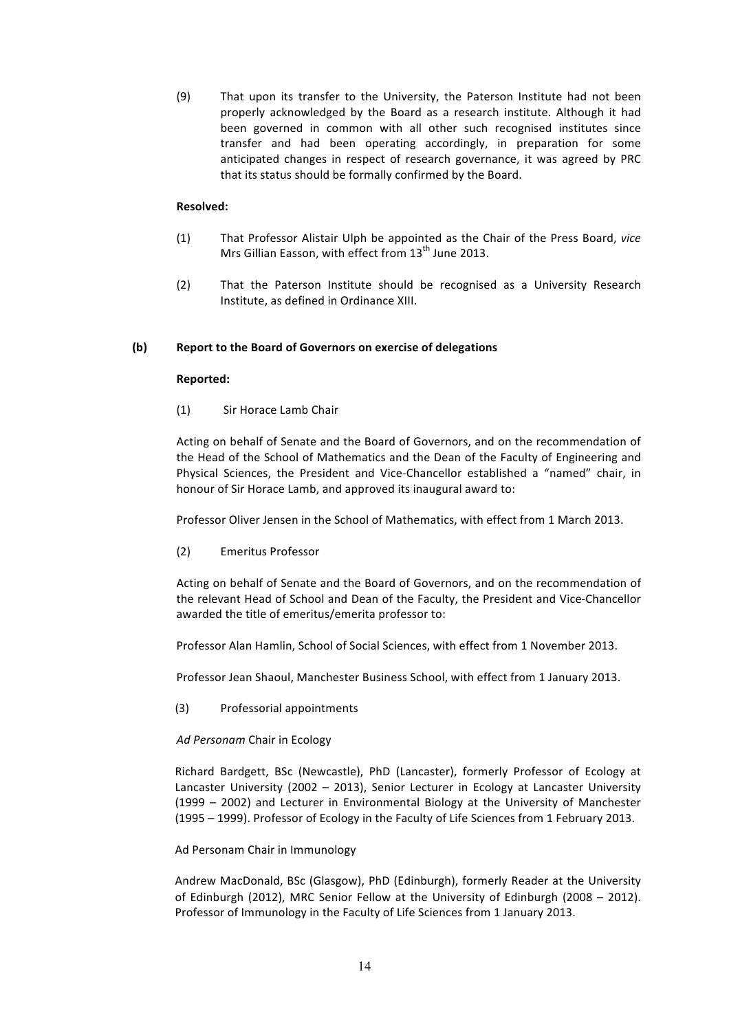(9) That upon its transfer to the University, the Paterson Institute had not been properly acknowledged by the Board as a research institute. Although it had been governed in common with all other such recognised institutes since transfer and had been operating accordingly, in preparation for some anticipated changes in respect of research governance, it was agreed by PRC that its status should be formally confirmed by the Board.

# **Resolved:**

- (1) That Professor Alistair Ulph be appointed as the Chair of the Press Board, *vice* Mrs Gillian Easson, with effect from 13<sup>th</sup> June 2013.
- (2) That the Paterson Institute should be recognised as a University Research Institute, as defined in Ordinance XIII.

# **(b) Report to the Board of Governors on exercise of delegations**

# **Reported:**

(1) Sir Horace Lamb Chair

Acting on behalf of Senate and the Board of Governors, and on the recommendation of the Head of the School of Mathematics and the Dean of the Faculty of Engineering and Physical Sciences, the President and Vice-Chancellor established a "named" chair, in honour of Sir Horace Lamb, and approved its inaugural award to:

Professor Oliver Jensen in the School of Mathematics, with effect from 1 March 2013.

(2) Emeritus Professor

Acting on behalf of Senate and the Board of Governors, and on the recommendation of the relevant Head of School and Dean of the Faculty, the President and Vice-Chancellor awarded the title of emeritus/emerita professor to:

Professor Alan Hamlin, School of Social Sciences, with effect from 1 November 2013.

Professor Jean Shaoul, Manchester Business School, with effect from 1 January 2013.

(3) Professorial appointments

# Ad Personam Chair in Ecology

Richard Bardgett, BSc (Newcastle), PhD (Lancaster), formerly Professor of Ecology at Lancaster University  $(2002 - 2013)$ , Senior Lecturer in Ecology at Lancaster University  $(1999 - 2002)$  and Lecturer in Environmental Biology at the University of Manchester (1995 – 1999). Professor of Ecology in the Faculty of Life Sciences from 1 February 2013.

# Ad Personam Chair in Immunology

Andrew MacDonald, BSc (Glasgow), PhD (Edinburgh), formerly Reader at the University of Edinburgh (2012), MRC Senior Fellow at the University of Edinburgh (2008 – 2012). Professor of Immunology in the Faculty of Life Sciences from 1 January 2013.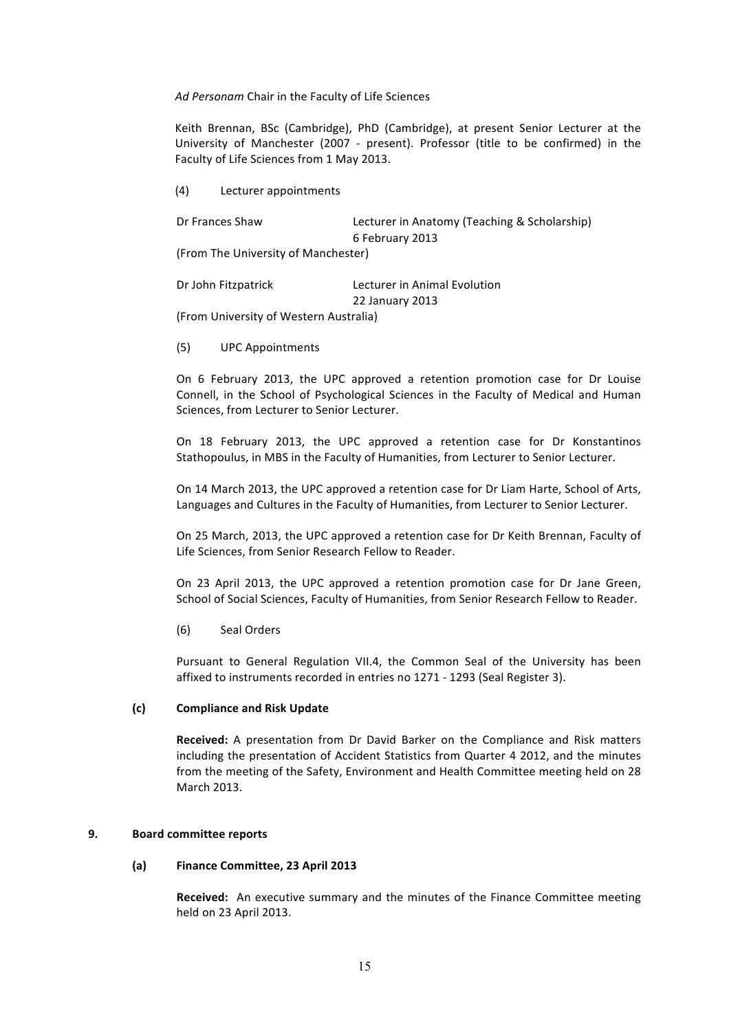Ad Personam Chair in the Faculty of Life Sciences

Keith Brennan, BSc (Cambridge), PhD (Cambridge), at present Senior Lecturer at the University of Manchester (2007 - present). Professor (title to be confirmed) in the Faculty of Life Sciences from 1 May 2013.

(4) Lecturer appointments

Dr Frances Shaw Lecturer in Anatomy (Teaching & Scholarship) 6 February 2013

(From The University of Manchester)

Dr John Fitzpatrick Lecturer in Animal Evolution 22 January 2013

(From University of Western Australia)

(5) UPC Appointments

On 6 February 2013, the UPC approved a retention promotion case for Dr Louise Connell, in the School of Psychological Sciences in the Faculty of Medical and Human Sciences, from Lecturer to Senior Lecturer.

On 18 February 2013, the UPC approved a retention case for Dr Konstantinos Stathopoulus, in MBS in the Faculty of Humanities, from Lecturer to Senior Lecturer.

On 14 March 2013, the UPC approved a retention case for Dr Liam Harte, School of Arts, Languages and Cultures in the Faculty of Humanities, from Lecturer to Senior Lecturer.

On 25 March, 2013, the UPC approved a retention case for Dr Keith Brennan, Faculty of Life Sciences, from Senior Research Fellow to Reader.

On 23 April 2013, the UPC approved a retention promotion case for Dr Jane Green, School of Social Sciences, Faculty of Humanities, from Senior Research Fellow to Reader.

(6) Seal Orders

Pursuant to General Regulation VII.4, the Common Seal of the University has been affixed to instruments recorded in entries no 1271 - 1293 (Seal Register 3).

# **(c) Compliance and Risk Update**

**Received:** A presentation from Dr David Barker on the Compliance and Risk matters including the presentation of Accident Statistics from Quarter 4 2012, and the minutes from the meeting of the Safety, Environment and Health Committee meeting held on 28 **March 2013** 

# **9. Board committee reports**

# (a) **Finance Committee, 23 April 2013**

**Received:** An executive summary and the minutes of the Finance Committee meeting held on 23 April 2013.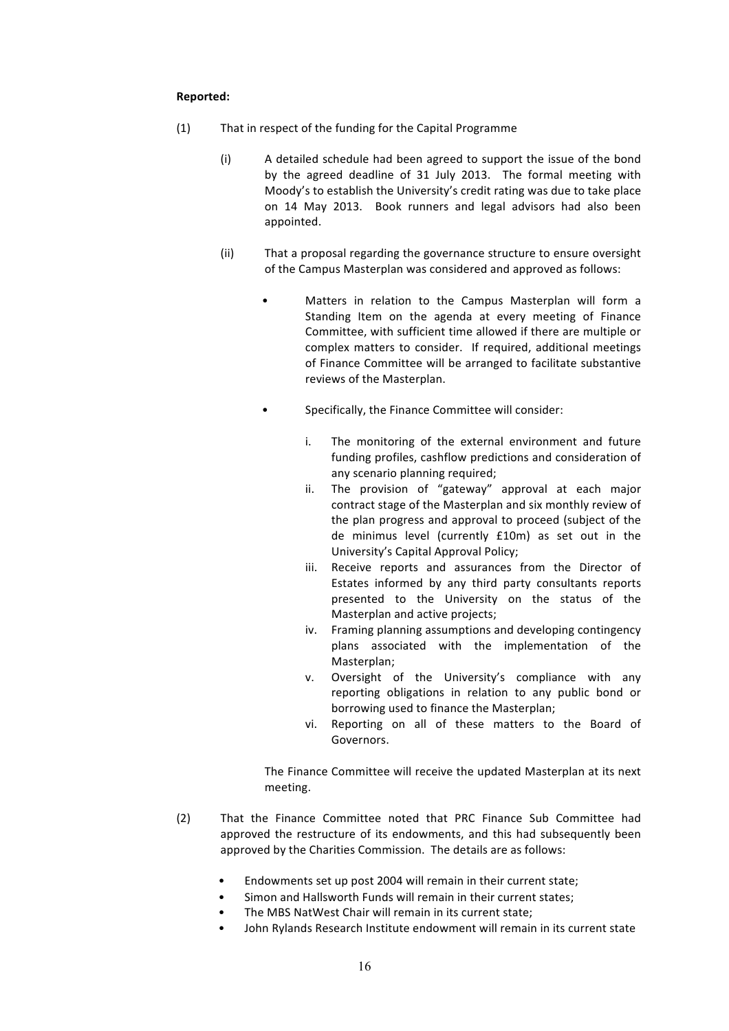#### **Reported:**

- (1) That in respect of the funding for the Capital Programme
	- (i) A detailed schedule had been agreed to support the issue of the bond by the agreed deadline of 31 July 2013. The formal meeting with Moody's to establish the University's credit rating was due to take place on 14 May 2013. Book runners and legal advisors had also been appointed.
	- (ii) That a proposal regarding the governance structure to ensure oversight of the Campus Masterplan was considered and approved as follows:
		- Matters in relation to the Campus Masterplan will form a Standing Item on the agenda at every meeting of Finance Committee, with sufficient time allowed if there are multiple or complex matters to consider. If required, additional meetings of Finance Committee will be arranged to facilitate substantive reviews of the Masterplan.
		- Specifically, the Finance Committee will consider:
			- i. The monitoring of the external environment and future funding profiles, cashflow predictions and consideration of any scenario planning required;
			- ii. The provision of "gateway" approval at each major contract stage of the Masterplan and six monthly review of the plan progress and approval to proceed (subject of the de minimus level (currently £10m) as set out in the University's Capital Approval Policy;
			- iii. Receive reports and assurances from the Director of Estates informed by any third party consultants reports presented to the University on the status of the Masterplan and active projects;
			- iv. Framing planning assumptions and developing contingency plans associated with the implementation of the Masterplan;
			- v. Oversight of the University's compliance with any reporting obligations in relation to any public bond or borrowing used to finance the Masterplan:
			- vi. Reporting on all of these matters to the Board of Governors.

The Finance Committee will receive the updated Masterplan at its next meeting.

- (2) That the Finance Committee noted that PRC Finance Sub Committee had approved the restructure of its endowments, and this had subsequently been approved by the Charities Commission. The details are as follows:
	- Endowments set up post 2004 will remain in their current state;
	- Simon and Hallsworth Funds will remain in their current states:
	- The MBS NatWest Chair will remain in its current state:
	- John Rylands Research Institute endowment will remain in its current state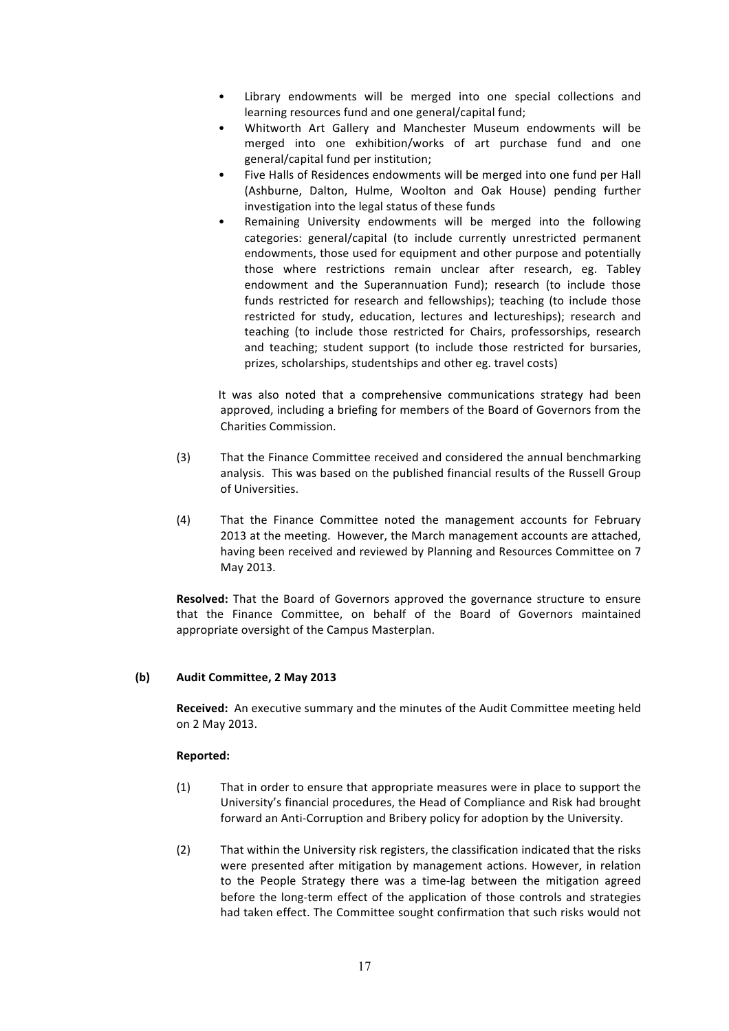- Library endowments will be merged into one special collections and learning resources fund and one general/capital fund;
- Whitworth Art Gallery and Manchester Museum endowments will be merged into one exhibition/works of art purchase fund and one general/capital fund per institution;
- Five Halls of Residences endowments will be merged into one fund per Hall (Ashburne, Dalton, Hulme, Woolton and Oak House) pending further investigation into the legal status of these funds
- Remaining University endowments will be merged into the following categories: general/capital (to include currently unrestricted permanent endowments, those used for equipment and other purpose and potentially those where restrictions remain unclear after research, eg. Tabley endowment and the Superannuation Fund); research (to include those funds restricted for research and fellowships); teaching (to include those restricted for study, education, lectures and lectureships); research and teaching (to include those restricted for Chairs, professorships, research and teaching; student support (to include those restricted for bursaries, prizes, scholarships, studentships and other eg. travel costs)

It was also noted that a comprehensive communications strategy had been approved, including a briefing for members of the Board of Governors from the Charities Commission.

- (3) That the Finance Committee received and considered the annual benchmarking analysis. This was based on the published financial results of the Russell Group of Universities.
- (4) That the Finance Committee noted the management accounts for February 2013 at the meeting. However, the March management accounts are attached, having been received and reviewed by Planning and Resources Committee on 7 May 2013.

**Resolved:** That the Board of Governors approved the governance structure to ensure that the Finance Committee, on behalf of the Board of Governors maintained appropriate oversight of the Campus Masterplan.

# **(b) Audit Committee, 2 May 2013**

**Received:** An executive summary and the minutes of the Audit Committee meeting held on 2 May 2013.

# **Reported:**

- (1) That in order to ensure that appropriate measures were in place to support the University's financial procedures, the Head of Compliance and Risk had brought forward an Anti-Corruption and Bribery policy for adoption by the University.
- (2) That within the University risk registers, the classification indicated that the risks were presented after mitigation by management actions. However, in relation to the People Strategy there was a time-lag between the mitigation agreed before the long-term effect of the application of those controls and strategies had taken effect. The Committee sought confirmation that such risks would not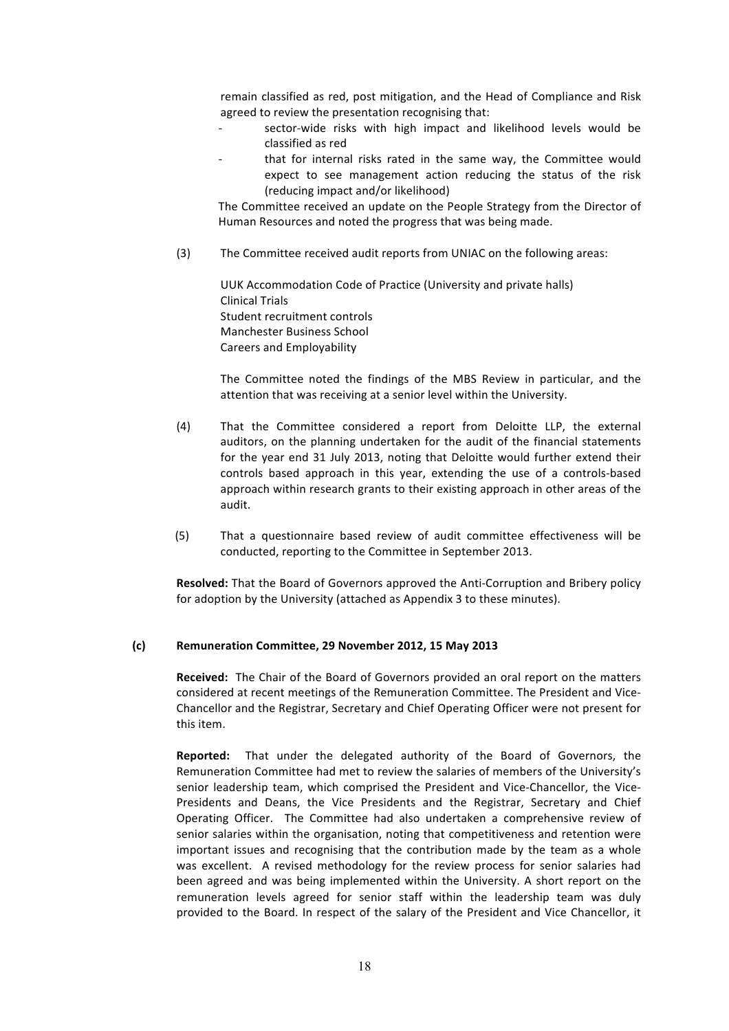remain classified as red, post mitigation, and the Head of Compliance and Risk agreed to review the presentation recognising that:

- sector-wide risks with high impact and likelihood levels would be classified as red
- that for internal risks rated in the same way, the Committee would expect to see management action reducing the status of the risk (reducing impact and/or likelihood)

The Committee received an update on the People Strategy from the Director of Human Resources and noted the progress that was being made.

(3) The Committee received audit reports from UNIAC on the following areas:

UUK Accommodation Code of Practice (University and private halls) Clinical Trials Student recruitment controls Manchester Business School Careers and Employability

The Committee noted the findings of the MBS Review in particular, and the attention that was receiving at a senior level within the University.

- (4) That the Committee considered a report from Deloitte LLP, the external auditors, on the planning undertaken for the audit of the financial statements for the year end 31 July 2013, noting that Deloitte would further extend their controls based approach in this year, extending the use of a controls-based approach within research grants to their existing approach in other areas of the audit.
- (5) That a questionnaire based review of audit committee effectiveness will be conducted, reporting to the Committee in September 2013.

**Resolved:** That the Board of Governors approved the Anti-Corruption and Bribery policy for adoption by the University (attached as Appendix 3 to these minutes).

# **(c) Remuneration Committee, 29 November 2012, 15 May 2013**

**Received:** The Chair of the Board of Governors provided an oral report on the matters considered at recent meetings of the Remuneration Committee. The President and Vice-Chancellor and the Registrar, Secretary and Chief Operating Officer were not present for this item.

**Reported:** That under the delegated authority of the Board of Governors, the Remuneration Committee had met to review the salaries of members of the University's senior leadership team, which comprised the President and Vice-Chancellor, the Vice-Presidents and Deans, the Vice Presidents and the Registrar, Secretary and Chief Operating Officer. The Committee had also undertaken a comprehensive review of senior salaries within the organisation, noting that competitiveness and retention were important issues and recognising that the contribution made by the team as a whole was excellent. A revised methodology for the review process for senior salaries had been agreed and was being implemented within the University. A short report on the remuneration levels agreed for senior staff within the leadership team was duly provided to the Board. In respect of the salary of the President and Vice Chancellor, it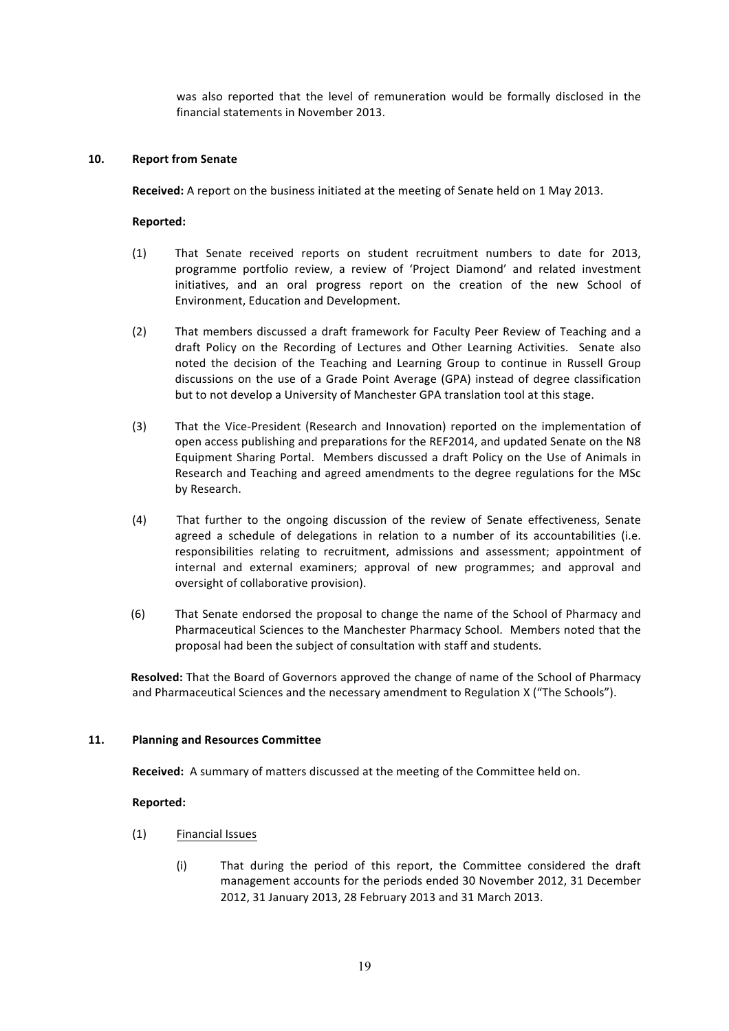was also reported that the level of remuneration would be formally disclosed in the financial statements in November 2013.

# **10.** Report from Senate

**Received:** A report on the business initiated at the meeting of Senate held on 1 May 2013.

# **Reported:**

- (1) That Senate received reports on student recruitment numbers to date for 2013, programme portfolio review, a review of 'Project Diamond' and related investment initiatives, and an oral progress report on the creation of the new School of Environment, Education and Development.
- (2) That members discussed a draft framework for Faculty Peer Review of Teaching and a draft Policy on the Recording of Lectures and Other Learning Activities. Senate also noted the decision of the Teaching and Learning Group to continue in Russell Group discussions on the use of a Grade Point Average (GPA) instead of degree classification but to not develop a University of Manchester GPA translation tool at this stage.
- (3) That the Vice-President (Research and Innovation) reported on the implementation of open access publishing and preparations for the REF2014, and updated Senate on the N8 Equipment Sharing Portal. Members discussed a draft Policy on the Use of Animals in Research and Teaching and agreed amendments to the degree regulations for the MSc by Research.
- (4) That further to the ongoing discussion of the review of Senate effectiveness, Senate agreed a schedule of delegations in relation to a number of its accountabilities (i.e. responsibilities relating to recruitment, admissions and assessment; appointment of internal and external examiners; approval of new programmes; and approval and oversight of collaborative provision).
- (6) That Senate endorsed the proposal to change the name of the School of Pharmacy and Pharmaceutical Sciences to the Manchester Pharmacy School. Members noted that the proposal had been the subject of consultation with staff and students.

**Resolved:** That the Board of Governors approved the change of name of the School of Pharmacy and Pharmaceutical Sciences and the necessary amendment to Regulation X ("The Schools").

# **11. Planning and Resources Committee**

**Received:** A summary of matters discussed at the meeting of the Committee held on.

# **Reported:**

- (1) Financial Issues
	- (i) That during the period of this report, the Committee considered the draft management accounts for the periods ended 30 November 2012, 31 December 2012, 31 January 2013, 28 February 2013 and 31 March 2013.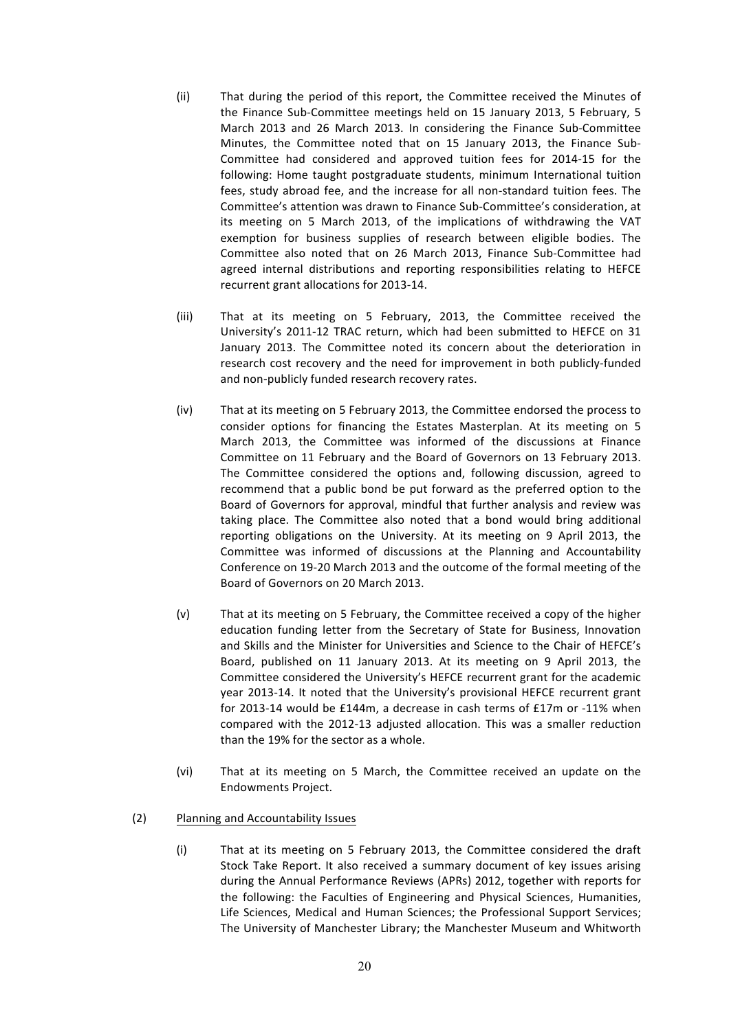- (ii) That during the period of this report, the Committee received the Minutes of the Finance Sub-Committee meetings held on 15 January 2013, 5 February, 5 March 2013 and 26 March 2013. In considering the Finance Sub-Committee Minutes, the Committee noted that on 15 January 2013, the Finance Sub-Committee had considered and approved tuition fees for 2014-15 for the following: Home taught postgraduate students, minimum International tuition fees, study abroad fee, and the increase for all non-standard tuition fees. The Committee's attention was drawn to Finance Sub-Committee's consideration, at its meeting on 5 March 2013, of the implications of withdrawing the VAT exemption for business supplies of research between eligible bodies. The Committee also noted that on 26 March 2013, Finance Sub-Committee had agreed internal distributions and reporting responsibilities relating to HEFCE recurrent grant allocations for 2013-14.
- (iii) That at its meeting on 5 February, 2013, the Committee received the University's 2011-12 TRAC return, which had been submitted to HEFCE on 31 January 2013. The Committee noted its concern about the deterioration in research cost recovery and the need for improvement in both publicly-funded and non-publicly funded research recovery rates.
- (iv) That at its meeting on 5 February 2013, the Committee endorsed the process to consider options for financing the Estates Masterplan. At its meeting on 5 March 2013, the Committee was informed of the discussions at Finance Committee on 11 February and the Board of Governors on 13 February 2013. The Committee considered the options and, following discussion, agreed to recommend that a public bond be put forward as the preferred option to the Board of Governors for approval, mindful that further analysis and review was taking place. The Committee also noted that a bond would bring additional reporting obligations on the University. At its meeting on 9 April 2013, the Committee was informed of discussions at the Planning and Accountability Conference on 19-20 March 2013 and the outcome of the formal meeting of the Board of Governors on 20 March 2013.
- (v) That at its meeting on 5 February, the Committee received a copy of the higher education funding letter from the Secretary of State for Business, Innovation and Skills and the Minister for Universities and Science to the Chair of HEFCE's Board, published on 11 January 2013. At its meeting on 9 April 2013, the Committee considered the University's HEFCE recurrent grant for the academic year 2013-14. It noted that the University's provisional HEFCE recurrent grant for 2013-14 would be £144m, a decrease in cash terms of £17m or -11% when compared with the 2012-13 adjusted allocation. This was a smaller reduction than the 19% for the sector as a whole.
- (vi) That at its meeting on 5 March, the Committee received an update on the Endowments Project.
- (2) Planning and Accountability Issues
	- (i) That at its meeting on 5 February 2013, the Committee considered the draft Stock Take Report. It also received a summary document of key issues arising during the Annual Performance Reviews (APRs) 2012, together with reports for the following: the Faculties of Engineering and Physical Sciences, Humanities, Life Sciences, Medical and Human Sciences; the Professional Support Services; The University of Manchester Library; the Manchester Museum and Whitworth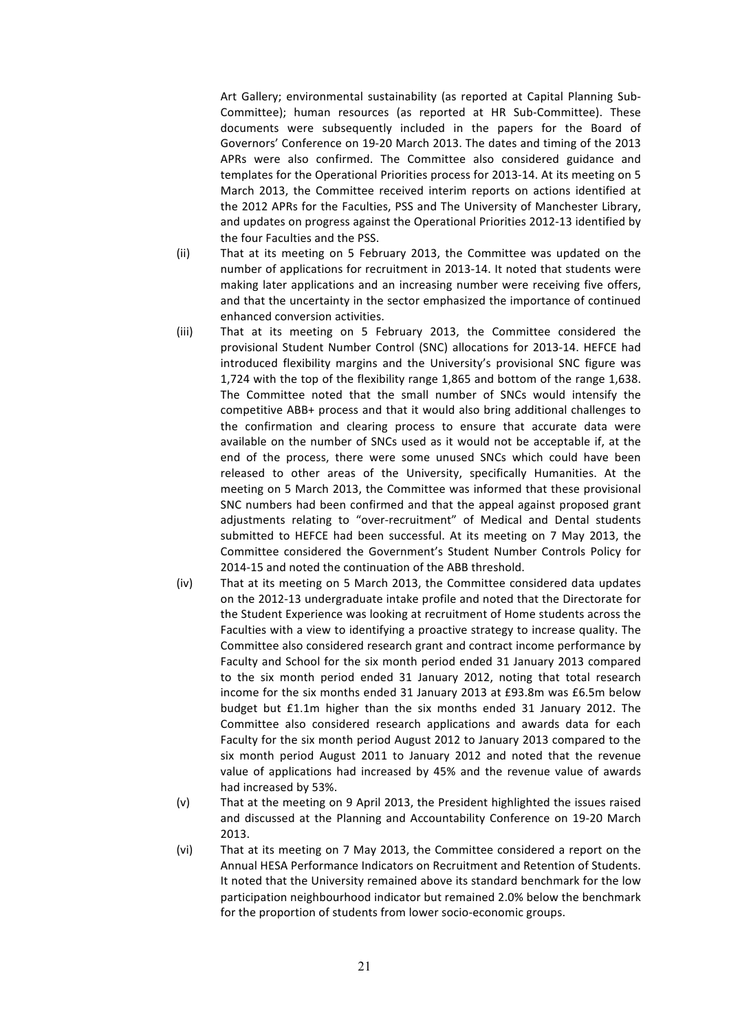Art Gallery; environmental sustainability (as reported at Capital Planning Sub-Committee); human resources (as reported at HR Sub-Committee). These documents were subsequently included in the papers for the Board of Governors' Conference on 19-20 March 2013. The dates and timing of the 2013 APRs were also confirmed. The Committee also considered guidance and templates for the Operational Priorities process for 2013-14. At its meeting on 5 March 2013, the Committee received interim reports on actions identified at the 2012 APRs for the Faculties, PSS and The University of Manchester Library, and updates on progress against the Operational Priorities 2012-13 identified by the four Faculties and the PSS.

- (ii) That at its meeting on 5 February 2013, the Committee was updated on the number of applications for recruitment in 2013-14. It noted that students were making later applications and an increasing number were receiving five offers, and that the uncertainty in the sector emphasized the importance of continued enhanced conversion activities.
- (iii) That at its meeting on 5 February 2013, the Committee considered the provisional Student Number Control (SNC) allocations for 2013-14. HEFCE had introduced flexibility margins and the University's provisional SNC figure was 1,724 with the top of the flexibility range 1,865 and bottom of the range 1,638. The Committee noted that the small number of SNCs would intensify the competitive ABB+ process and that it would also bring additional challenges to the confirmation and clearing process to ensure that accurate data were available on the number of SNCs used as it would not be acceptable if, at the end of the process, there were some unused SNCs which could have been released to other areas of the University, specifically Humanities. At the meeting on 5 March 2013, the Committee was informed that these provisional SNC numbers had been confirmed and that the appeal against proposed grant adjustments relating to "over-recruitment" of Medical and Dental students submitted to HEFCE had been successful. At its meeting on 7 May 2013, the Committee considered the Government's Student Number Controls Policy for 2014-15 and noted the continuation of the ABB threshold.
- (iv) That at its meeting on 5 March 2013, the Committee considered data updates on the 2012-13 undergraduate intake profile and noted that the Directorate for the Student Experience was looking at recruitment of Home students across the Faculties with a view to identifying a proactive strategy to increase quality. The Committee also considered research grant and contract income performance by Faculty and School for the six month period ended 31 January 2013 compared to the six month period ended 31 January 2012, noting that total research income for the six months ended 31 January 2013 at  $E93.8$ m was  $E6.5$ m below budget but £1.1m higher than the six months ended 31 January 2012. The Committee also considered research applications and awards data for each Faculty for the six month period August 2012 to January 2013 compared to the six month period August 2011 to January 2012 and noted that the revenue value of applications had increased by 45% and the revenue value of awards had increased by 53%.
- (v) That at the meeting on 9 April 2013, the President highlighted the issues raised and discussed at the Planning and Accountability Conference on 19-20 March 2013.
- (vi) That at its meeting on 7 May 2013, the Committee considered a report on the Annual HESA Performance Indicators on Recruitment and Retention of Students. It noted that the University remained above its standard benchmark for the low participation neighbourhood indicator but remained 2.0% below the benchmark for the proportion of students from lower socio-economic groups.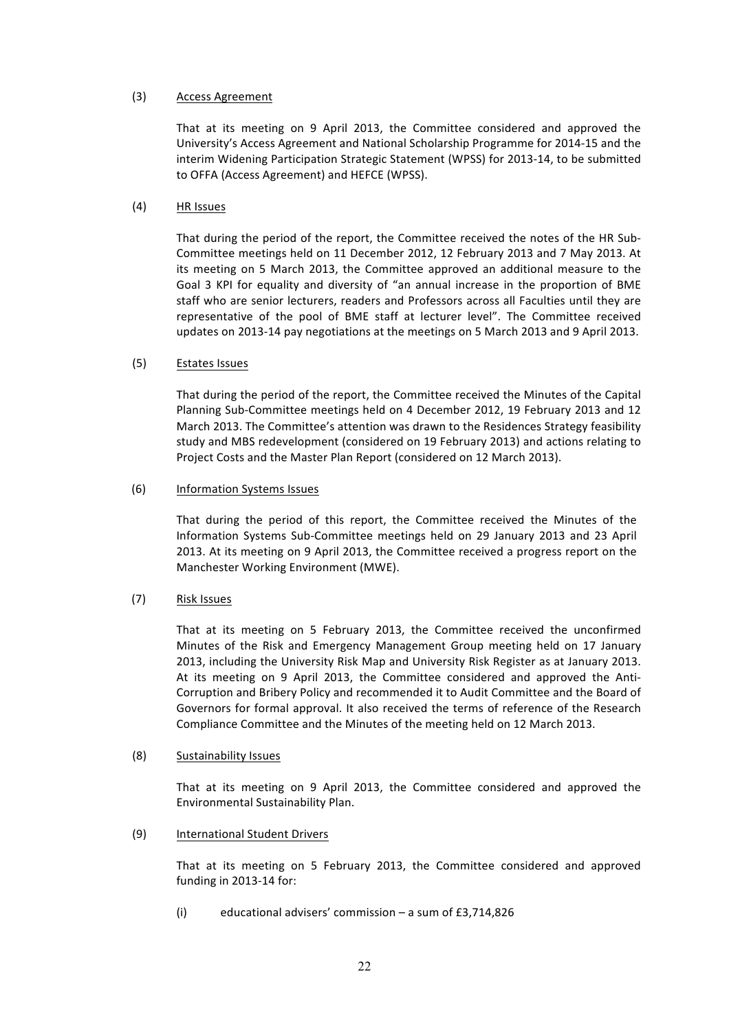# (3) Access Agreement

That at its meeting on 9 April 2013, the Committee considered and approved the University's Access Agreement and National Scholarship Programme for 2014-15 and the interim Widening Participation Strategic Statement (WPSS) for 2013-14, to be submitted to OFFA (Access Agreement) and HEFCE (WPSS).

# (4) HR Issues

That during the period of the report, the Committee received the notes of the HR Sub-Committee meetings held on 11 December 2012, 12 February 2013 and 7 May 2013. At its meeting on 5 March 2013, the Committee approved an additional measure to the Goal 3 KPI for equality and diversity of "an annual increase in the proportion of BME staff who are senior lecturers, readers and Professors across all Faculties until they are representative of the pool of BME staff at lecturer level". The Committee received updates on 2013-14 pay negotiations at the meetings on 5 March 2013 and 9 April 2013.

# (5) Estates Issues

That during the period of the report, the Committee received the Minutes of the Capital Planning Sub-Committee meetings held on 4 December 2012, 19 February 2013 and 12 March 2013. The Committee's attention was drawn to the Residences Strategy feasibility study and MBS redevelopment (considered on 19 February 2013) and actions relating to Project Costs and the Master Plan Report (considered on 12 March 2013).

# (6) Information Systems Issues

That during the period of this report, the Committee received the Minutes of the Information Systems Sub-Committee meetings held on 29 January 2013 and 23 April 2013. At its meeting on 9 April 2013, the Committee received a progress report on the Manchester Working Environment (MWE).

# (7) Risk Issues

That at its meeting on 5 February 2013, the Committee received the unconfirmed Minutes of the Risk and Emergency Management Group meeting held on 17 January 2013, including the University Risk Map and University Risk Register as at January 2013. At its meeting on 9 April 2013, the Committee considered and approved the Anti-Corruption and Bribery Policy and recommended it to Audit Committee and the Board of Governors for formal approval. It also received the terms of reference of the Research Compliance Committee and the Minutes of the meeting held on 12 March 2013.

# (8) Sustainability Issues

That at its meeting on 9 April 2013, the Committee considered and approved the Environmental Sustainability Plan.

# (9) International Student Drivers

That at its meeting on 5 February 2013, the Committee considered and approved funding in  $2013-14$  for:

(i) educational advisers' commission  $-$  a sum of £3,714,826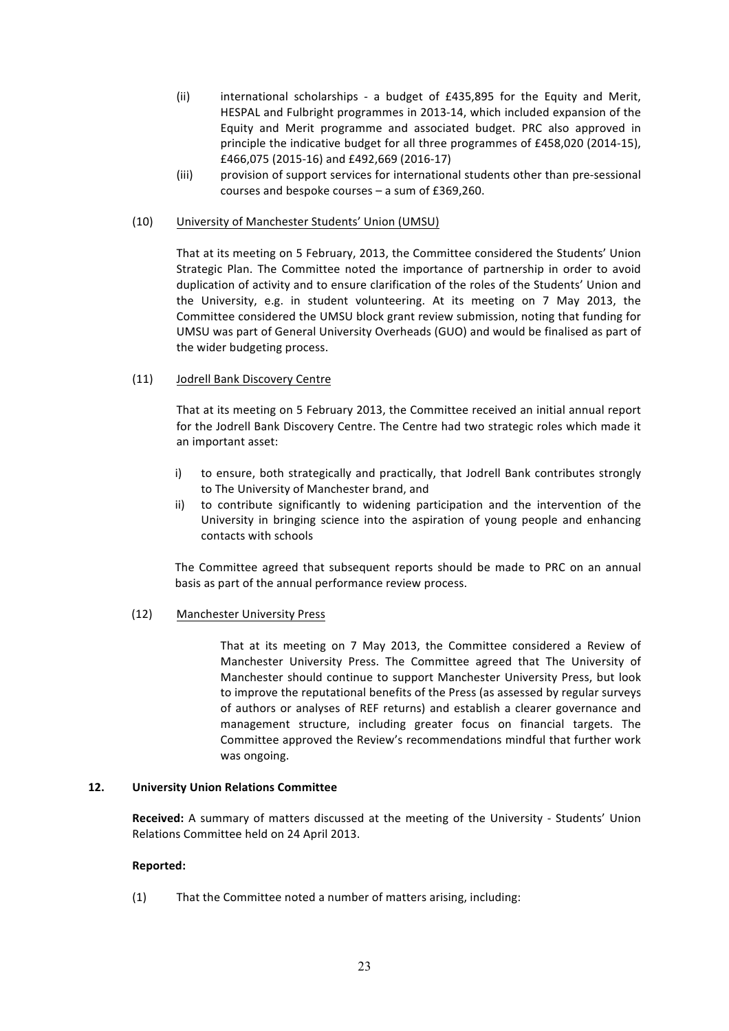- (ii) international scholarships a budget of £435,895 for the Equity and Merit, HESPAL and Fulbright programmes in 2013-14, which included expansion of the Equity and Merit programme and associated budget. PRC also approved in principle the indicative budget for all three programmes of  $£458,020$  (2014-15), £466,075 (2015-16) and £492,669 (2016-17)
- (iii) provision of support services for international students other than pre-sessional courses and bespoke courses  $-$  a sum of £369,260.

# (10) University of Manchester Students' Union (UMSU)

That at its meeting on 5 February, 2013, the Committee considered the Students' Union Strategic Plan. The Committee noted the importance of partnership in order to avoid duplication of activity and to ensure clarification of the roles of the Students' Union and the University, e.g. in student volunteering. At its meeting on 7 May 2013, the Committee considered the UMSU block grant review submission, noting that funding for UMSU was part of General University Overheads (GUO) and would be finalised as part of the wider budgeting process.

#### (11) Jodrell Bank Discovery Centre

That at its meeting on 5 February 2013, the Committee received an initial annual report for the Jodrell Bank Discovery Centre. The Centre had two strategic roles which made it an important asset:

- i) to ensure, both strategically and practically, that Jodrell Bank contributes strongly to The University of Manchester brand, and
- ii) to contribute significantly to widening participation and the intervention of the University in bringing science into the aspiration of young people and enhancing contacts with schools

The Committee agreed that subsequent reports should be made to PRC on an annual basis as part of the annual performance review process.

# (12) Manchester University Press

That at its meeting on 7 May 2013, the Committee considered a Review of Manchester University Press. The Committee agreed that The University of Manchester should continue to support Manchester University Press, but look to improve the reputational benefits of the Press (as assessed by regular surveys of authors or analyses of REF returns) and establish a clearer governance and management structure, including greater focus on financial targets. The Committee approved the Review's recommendations mindful that further work was ongoing.

#### **12. University Union Relations Committee**

**Received:** A summary of matters discussed at the meeting of the University - Students' Union Relations Committee held on 24 April 2013.

#### **Reported:**

(1) That the Committee noted a number of matters arising, including: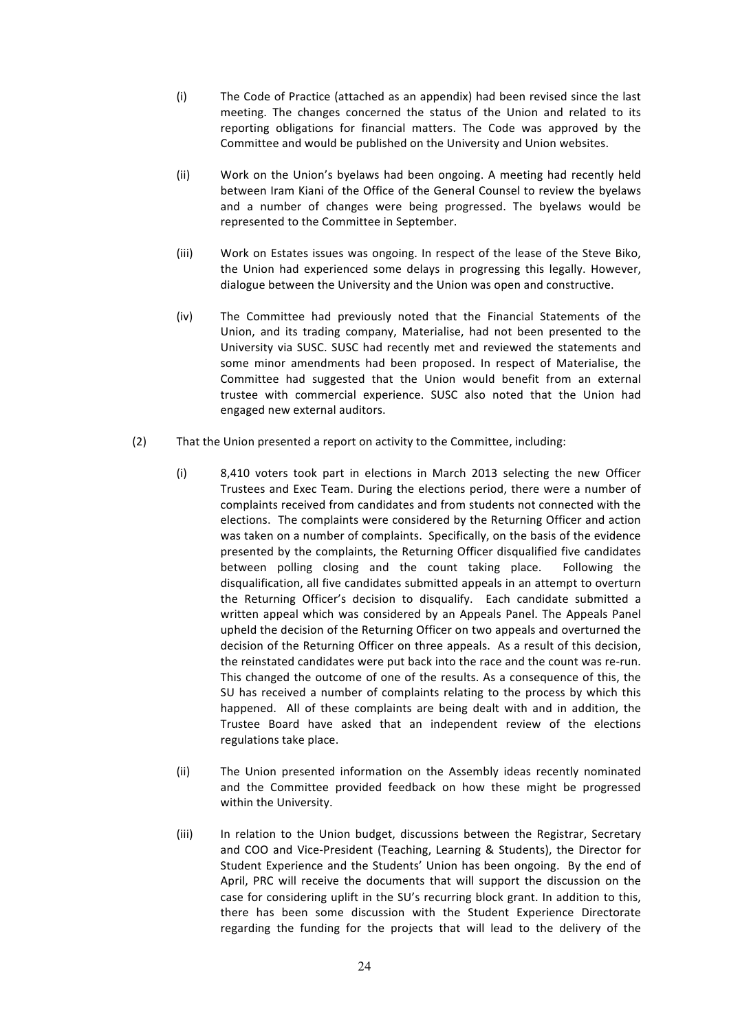- (i) The Code of Practice (attached as an appendix) had been revised since the last meeting. The changes concerned the status of the Union and related to its reporting obligations for financial matters. The Code was approved by the Committee and would be published on the University and Union websites.
- (ii) Work on the Union's byelaws had been ongoing. A meeting had recently held between Iram Kiani of the Office of the General Counsel to review the byelaws and a number of changes were being progressed. The byelaws would be represented to the Committee in September.
- (iii) Work on Estates issues was ongoing. In respect of the lease of the Steve Biko, the Union had experienced some delays in progressing this legally. However, dialogue between the University and the Union was open and constructive.
- (iv) The Committee had previously noted that the Financial Statements of the Union, and its trading company, Materialise, had not been presented to the University via SUSC. SUSC had recently met and reviewed the statements and some minor amendments had been proposed. In respect of Materialise, the Committee had suggested that the Union would benefit from an external trustee with commercial experience. SUSC also noted that the Union had engaged new external auditors.
- (2) That the Union presented a report on activity to the Committee, including:
	- (i) 8,410 voters took part in elections in March 2013 selecting the new Officer Trustees and Exec Team. During the elections period, there were a number of complaints received from candidates and from students not connected with the elections. The complaints were considered by the Returning Officer and action was taken on a number of complaints. Specifically, on the basis of the evidence presented by the complaints, the Returning Officer disqualified five candidates between polling closing and the count taking place. Following the disqualification, all five candidates submitted appeals in an attempt to overturn the Returning Officer's decision to disqualify. Each candidate submitted a written appeal which was considered by an Appeals Panel. The Appeals Panel upheld the decision of the Returning Officer on two appeals and overturned the decision of the Returning Officer on three appeals. As a result of this decision, the reinstated candidates were put back into the race and the count was re-run. This changed the outcome of one of the results. As a consequence of this, the SU has received a number of complaints relating to the process by which this happened. All of these complaints are being dealt with and in addition, the Trustee Board have asked that an independent review of the elections regulations take place.
	- (ii) The Union presented information on the Assembly ideas recently nominated and the Committee provided feedback on how these might be progressed within the University.
	- (iii) In relation to the Union budget, discussions between the Registrar, Secretary and COO and Vice-President (Teaching, Learning & Students), the Director for Student Experience and the Students' Union has been ongoing. By the end of April, PRC will receive the documents that will support the discussion on the case for considering uplift in the SU's recurring block grant. In addition to this, there has been some discussion with the Student Experience Directorate regarding the funding for the projects that will lead to the delivery of the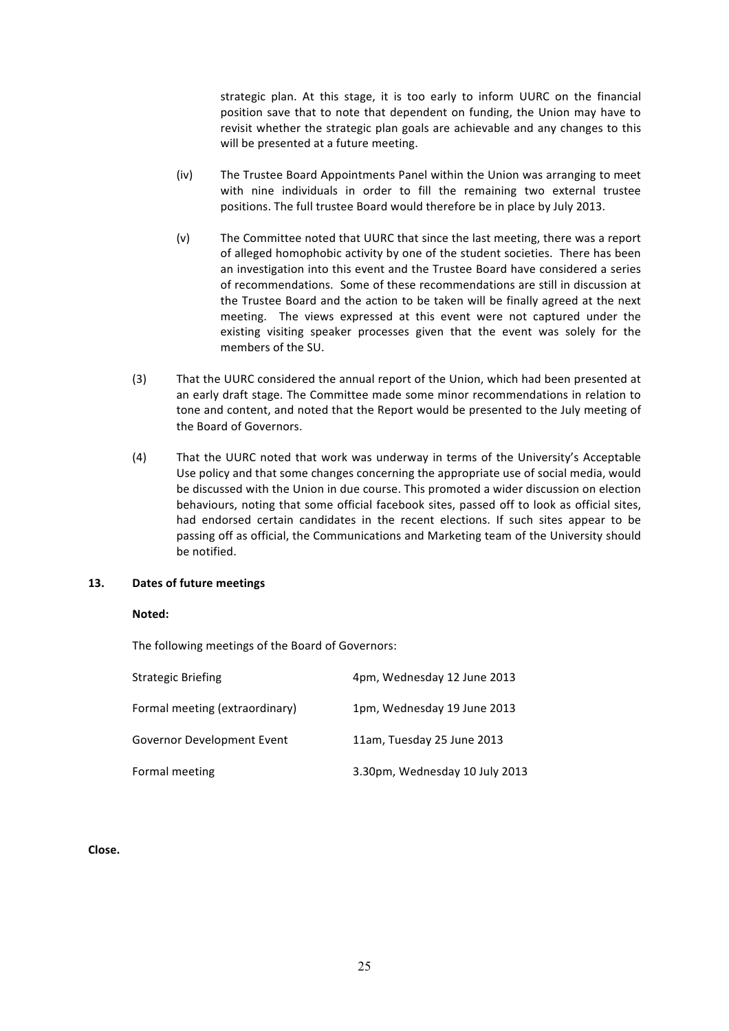strategic plan. At this stage, it is too early to inform UURC on the financial position save that to note that dependent on funding, the Union may have to revisit whether the strategic plan goals are achievable and any changes to this will be presented at a future meeting.

- (iv) The Trustee Board Appointments Panel within the Union was arranging to meet with nine individuals in order to fill the remaining two external trustee positions. The full trustee Board would therefore be in place by July 2013.
- (v) The Committee noted that UURC that since the last meeting, there was a report of alleged homophobic activity by one of the student societies. There has been an investigation into this event and the Trustee Board have considered a series of recommendations. Some of these recommendations are still in discussion at the Trustee Board and the action to be taken will be finally agreed at the next meeting. The views expressed at this event were not captured under the existing visiting speaker processes given that the event was solely for the members of the SU.
- (3) That the UURC considered the annual report of the Union, which had been presented at an early draft stage. The Committee made some minor recommendations in relation to tone and content, and noted that the Report would be presented to the July meeting of the Board of Governors.
- (4) That the UURC noted that work was underway in terms of the University's Acceptable Use policy and that some changes concerning the appropriate use of social media, would be discussed with the Union in due course. This promoted a wider discussion on election behaviours, noting that some official facebook sites, passed off to look as official sites, had endorsed certain candidates in the recent elections. If such sites appear to be passing off as official, the Communications and Marketing team of the University should be notified.

# 13. **Dates of future meetings**

# **Noted:**

The following meetings of the Board of Governors:

| <b>Strategic Briefing</b>      | 4pm, Wednesday 12 June 2013    |
|--------------------------------|--------------------------------|
| Formal meeting (extraordinary) | 1pm, Wednesday 19 June 2013    |
| Governor Development Event     | 11am, Tuesday 25 June 2013     |
| Formal meeting                 | 3.30pm, Wednesday 10 July 2013 |

**Close.**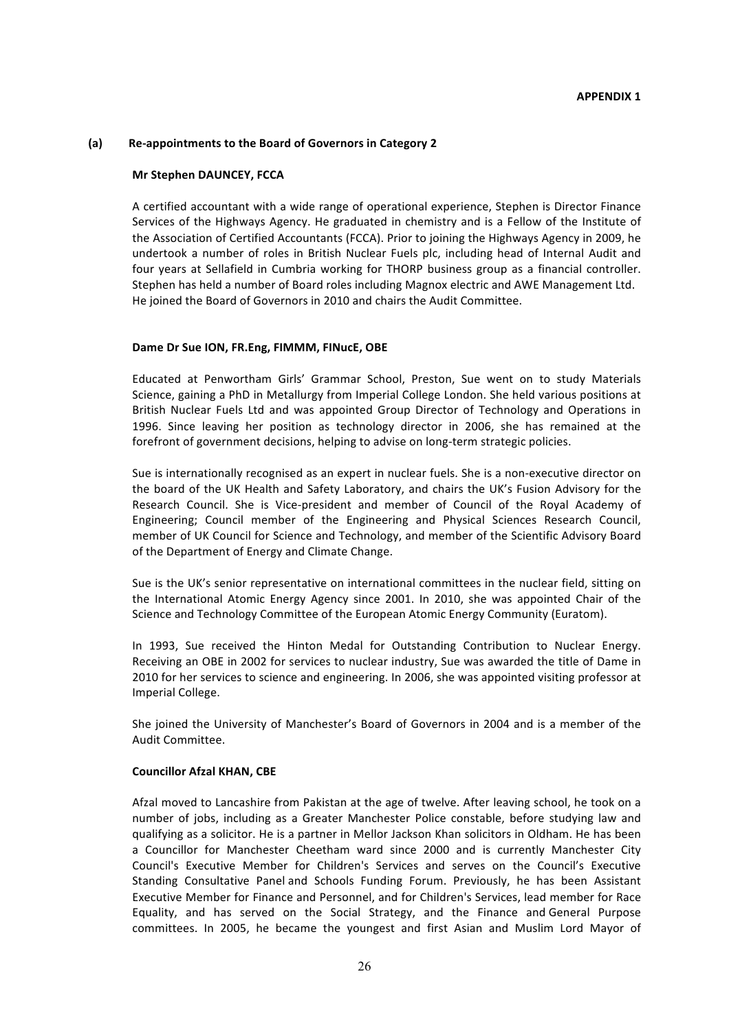#### **(a) Re-appointments to the Board of Governors in Category 2**

#### **Mr Stephen DAUNCEY, FCCA**

A certified accountant with a wide range of operational experience, Stephen is Director Finance Services of the Highways Agency. He graduated in chemistry and is a Fellow of the Institute of the Association of Certified Accountants (FCCA). Prior to joining the Highways Agency in 2009, he undertook a number of roles in British Nuclear Fuels plc, including head of Internal Audit and four years at Sellafield in Cumbria working for THORP business group as a financial controller. Stephen has held a number of Board roles including Magnox electric and AWE Management Ltd. He joined the Board of Governors in 2010 and chairs the Audit Committee.

#### Dame Dr Sue ION, FR.Eng, FIMMM, FINucE, OBE

Educated at Penwortham Girls' Grammar School, Preston, Sue went on to study Materials Science, gaining a PhD in Metallurgy from Imperial College London. She held various positions at British Nuclear Fuels Ltd and was appointed Group Director of Technology and Operations in 1996. Since leaving her position as technology director in 2006, she has remained at the forefront of government decisions, helping to advise on long-term strategic policies.

Sue is internationally recognised as an expert in nuclear fuels. She is a non-executive director on the board of the UK Health and Safety Laboratory, and chairs the UK's Fusion Advisory for the Research Council. She is Vice-president and member of Council of the Royal Academy of Engineering; Council member of the Engineering and Physical Sciences Research Council, member of UK Council for Science and Technology, and member of the Scientific Advisory Board of the Department of Energy and Climate Change.

Sue is the UK's senior representative on international committees in the nuclear field, sitting on the International Atomic Energy Agency since 2001. In 2010, she was appointed Chair of the Science and Technology Committee of the European Atomic Energy Community (Euratom).

In 1993, Sue received the Hinton Medal for Outstanding Contribution to Nuclear Energy. Receiving an OBE in 2002 for services to nuclear industry, Sue was awarded the title of Dame in 2010 for her services to science and engineering. In 2006, she was appointed visiting professor at Imperial College. 

She joined the University of Manchester's Board of Governors in 2004 and is a member of the Audit Committee.

#### **Councillor Afzal KHAN, CBE**

Afzal moved to Lancashire from Pakistan at the age of twelve. After leaving school, he took on a number of jobs, including as a Greater Manchester Police constable, before studying law and qualifying as a solicitor. He is a partner in Mellor Jackson Khan solicitors in Oldham. He has been a Councillor for Manchester Cheetham ward since 2000 and is currently Manchester City Council's Executive Member for Children's Services and serves on the Council's Executive Standing Consultative Panel and Schools Funding Forum. Previously, he has been Assistant Executive Member for Finance and Personnel, and for Children's Services, lead member for Race Equality, and has served on the Social Strategy, and the Finance and General Purpose committees. In 2005, he became the youngest and first Asian and Muslim Lord Mayor of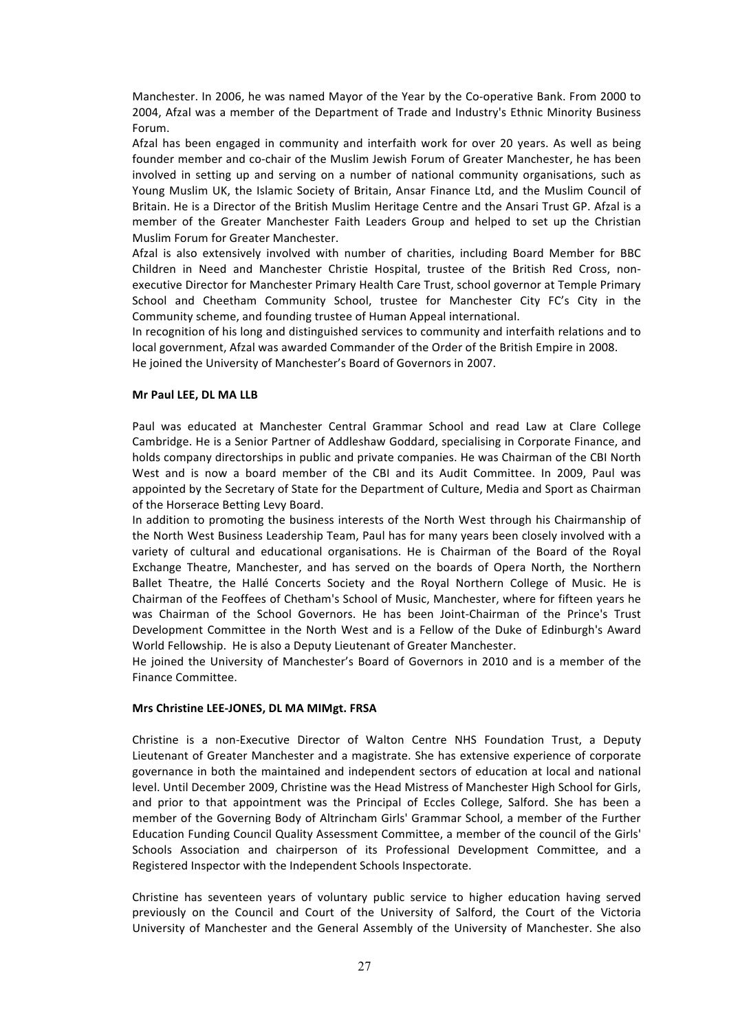Manchester. In 2006, he was named Mayor of the Year by the Co-operative Bank. From 2000 to 2004, Afzal was a member of the Department of Trade and Industry's Ethnic Minority Business Forum. 

Afzal has been engaged in community and interfaith work for over 20 years. As well as being founder member and co-chair of the Muslim Jewish Forum of Greater Manchester, he has been involved in setting up and serving on a number of national community organisations, such as Young Muslim UK, the Islamic Society of Britain, Ansar Finance Ltd, and the Muslim Council of Britain. He is a Director of the British Muslim Heritage Centre and the Ansari Trust GP. Afzal is a member of the Greater Manchester Faith Leaders Group and helped to set up the Christian Muslim Forum for Greater Manchester.

Afzal is also extensively involved with number of charities, including Board Member for BBC Children in Need and Manchester Christie Hospital, trustee of the British Red Cross, nonexecutive Director for Manchester Primary Health Care Trust, school governor at Temple Primary School and Cheetham Community School, trustee for Manchester City FC's City in the Community scheme, and founding trustee of Human Appeal international.

In recognition of his long and distinguished services to community and interfaith relations and to local government, Afzal was awarded Commander of the Order of the British Empire in 2008. He joined the University of Manchester's Board of Governors in 2007.

#### **Mr Paul LEE, DL MA LLB**

Paul was educated at Manchester Central Grammar School and read Law at Clare College Cambridge. He is a Senior Partner of Addleshaw Goddard, specialising in Corporate Finance, and holds company directorships in public and private companies. He was Chairman of the CBI North West and is now a board member of the CBI and its Audit Committee. In 2009, Paul was appointed by the Secretary of State for the Department of Culture, Media and Sport as Chairman of the Horserace Betting Levy Board.

In addition to promoting the business interests of the North West through his Chairmanship of the North West Business Leadership Team, Paul has for many years been closely involved with a variety of cultural and educational organisations. He is Chairman of the Board of the Royal Exchange Theatre, Manchester, and has served on the boards of Opera North, the Northern Ballet Theatre, the Hallé Concerts Society and the Royal Northern College of Music. He is Chairman of the Feoffees of Chetham's School of Music, Manchester, where for fifteen years he was Chairman of the School Governors. He has been Joint-Chairman of the Prince's Trust Development Committee in the North West and is a Fellow of the Duke of Edinburgh's Award World Fellowship. He is also a Deputy Lieutenant of Greater Manchester.

He joined the University of Manchester's Board of Governors in 2010 and is a member of the Finance Committee. 

# **Mrs Christine LEE-JONES, DL MA MIMgt. FRSA**

Christine is a non-Executive Director of Walton Centre NHS Foundation Trust, a Deputy Lieutenant of Greater Manchester and a magistrate. She has extensive experience of corporate governance in both the maintained and independent sectors of education at local and national level. Until December 2009, Christine was the Head Mistress of Manchester High School for Girls, and prior to that appointment was the Principal of Eccles College, Salford. She has been a member of the Governing Body of Altrincham Girls' Grammar School, a member of the Further Education Funding Council Quality Assessment Committee, a member of the council of the Girls' Schools Association and chairperson of its Professional Development Committee, and a Registered Inspector with the Independent Schools Inspectorate.

Christine has seventeen years of voluntary public service to higher education having served previously on the Council and Court of the University of Salford, the Court of the Victoria University of Manchester and the General Assembly of the University of Manchester. She also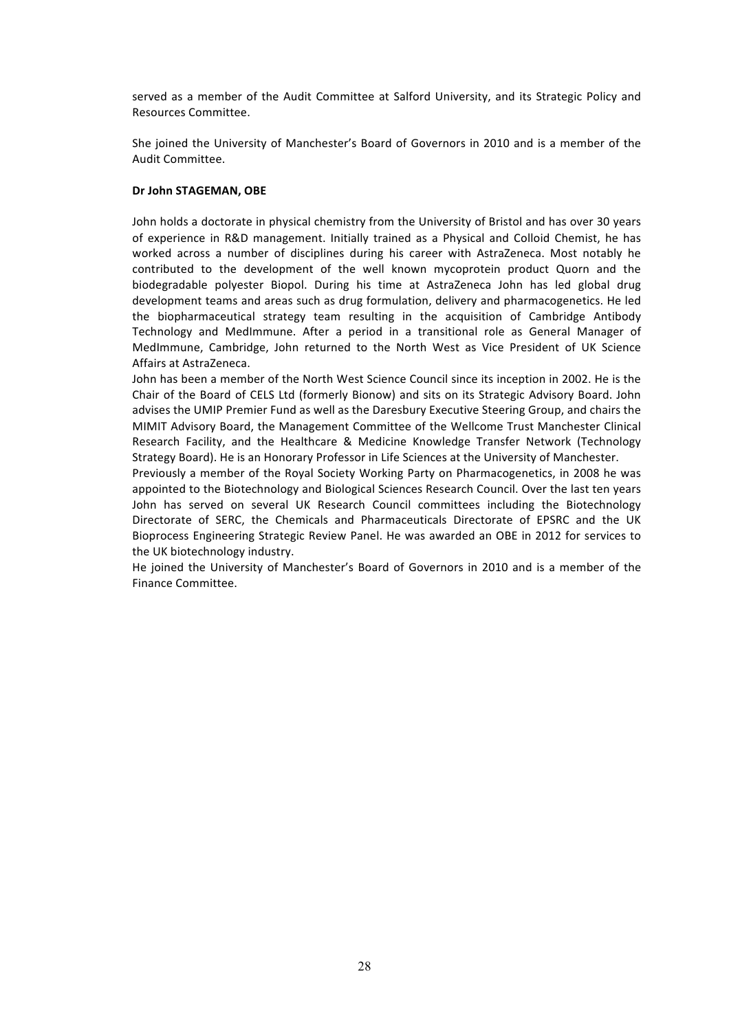served as a member of the Audit Committee at Salford University, and its Strategic Policy and Resources Committee. 

She joined the University of Manchester's Board of Governors in 2010 and is a member of the Audit Committee.

# Dr John STAGEMAN, OBE

John holds a doctorate in physical chemistry from the University of Bristol and has over 30 years of experience in R&D management. Initially trained as a Physical and Colloid Chemist, he has worked across a number of disciplines during his career with AstraZeneca. Most notably he contributed to the development of the well known mycoprotein product Quorn and the biodegradable polyester Biopol. During his time at AstraZeneca John has led global drug development teams and areas such as drug formulation, delivery and pharmacogenetics. He led the biopharmaceutical strategy team resulting in the acquisition of Cambridge Antibody Technology and MedImmune. After a period in a transitional role as General Manager of MedImmune, Cambridge, John returned to the North West as Vice President of UK Science Affairs at AstraZeneca.

John has been a member of the North West Science Council since its inception in 2002. He is the Chair of the Board of CELS Ltd (formerly Bionow) and sits on its Strategic Advisory Board. John advises the UMIP Premier Fund as well as the Daresbury Executive Steering Group, and chairs the MIMIT Advisory Board, the Management Committee of the Wellcome Trust Manchester Clinical Research Facility, and the Healthcare & Medicine Knowledge Transfer Network (Technology Strategy Board). He is an Honorary Professor in Life Sciences at the University of Manchester.

Previously a member of the Royal Society Working Party on Pharmacogenetics, in 2008 he was appointed to the Biotechnology and Biological Sciences Research Council. Over the last ten years John has served on several UK Research Council committees including the Biotechnology Directorate of SERC, the Chemicals and Pharmaceuticals Directorate of EPSRC and the UK Bioprocess Engineering Strategic Review Panel. He was awarded an OBE in 2012 for services to the UK biotechnology industry.

He joined the University of Manchester's Board of Governors in 2010 and is a member of the Finance Committee.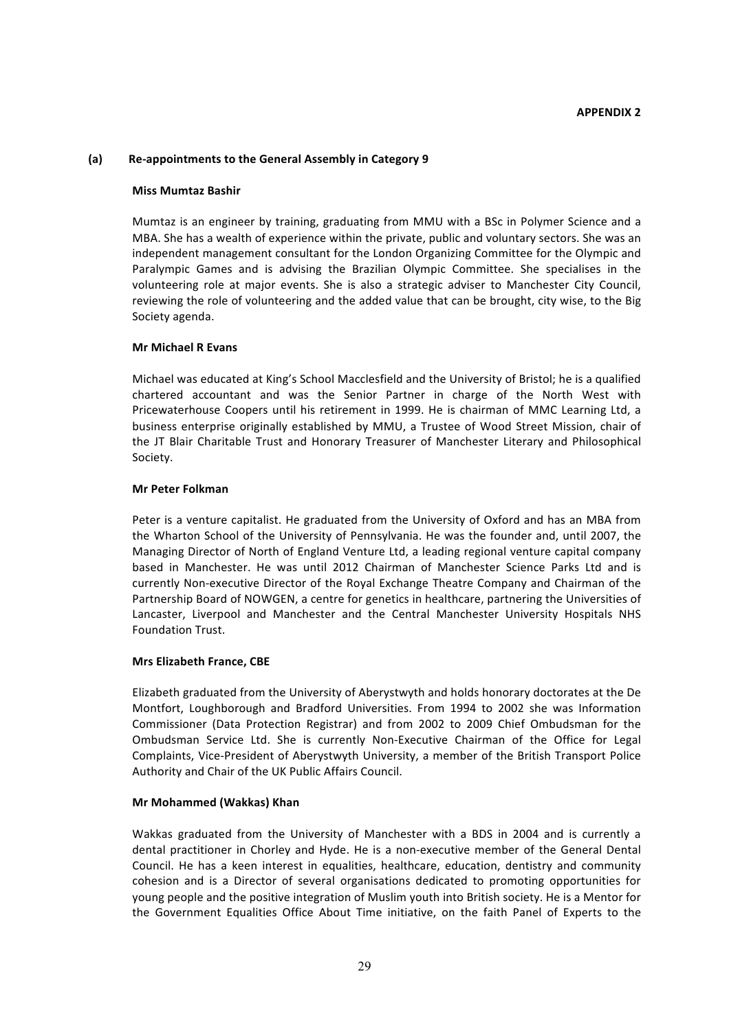# (a) Re-appointments to the General Assembly in Category 9

# **Miss Mumtaz Bashir**

Mumtaz is an engineer by training, graduating from MMU with a BSc in Polymer Science and a MBA. She has a wealth of experience within the private, public and voluntary sectors. She was an independent management consultant for the London Organizing Committee for the Olympic and Paralympic Games and is advising the Brazilian Olympic Committee. She specialises in the volunteering role at major events. She is also a strategic adviser to Manchester City Council, reviewing the role of volunteering and the added value that can be brought, city wise, to the Big Society agenda.

# **Mr Michael R Evans**

Michael was educated at King's School Macclesfield and the University of Bristol; he is a qualified chartered accountant and was the Senior Partner in charge of the North West with Pricewaterhouse Coopers until his retirement in 1999. He is chairman of MMC Learning Ltd, a business enterprise originally established by MMU, a Trustee of Wood Street Mission, chair of the JT Blair Charitable Trust and Honorary Treasurer of Manchester Literary and Philosophical Society.

# **Mr Peter Folkman**

Peter is a venture capitalist. He graduated from the University of Oxford and has an MBA from the Wharton School of the University of Pennsylvania. He was the founder and, until 2007, the Managing Director of North of England Venture Ltd, a leading regional venture capital company based in Manchester. He was until 2012 Chairman of Manchester Science Parks Ltd and is currently Non-executive Director of the Royal Exchange Theatre Company and Chairman of the Partnership Board of NOWGEN, a centre for genetics in healthcare, partnering the Universities of Lancaster, Liverpool and Manchester and the Central Manchester University Hospitals NHS Foundation Trust.

# **Mrs Elizabeth France, CBE**

Elizabeth graduated from the University of Aberystwyth and holds honorary doctorates at the De Montfort, Loughborough and Bradford Universities. From 1994 to 2002 she was Information Commissioner (Data Protection Registrar) and from 2002 to 2009 Chief Ombudsman for the Ombudsman Service Ltd. She is currently Non-Executive Chairman of the Office for Legal Complaints, Vice-President of Aberystwyth University, a member of the British Transport Police Authority and Chair of the UK Public Affairs Council.

# **Mr Mohammed (Wakkas) Khan**

Wakkas graduated from the University of Manchester with a BDS in 2004 and is currently a dental practitioner in Chorley and Hyde. He is a non-executive member of the General Dental Council. He has a keen interest in equalities, healthcare, education, dentistry and community cohesion and is a Director of several organisations dedicated to promoting opportunities for young people and the positive integration of Muslim youth into British society. He is a Mentor for the Government Equalities Office About Time initiative, on the faith Panel of Experts to the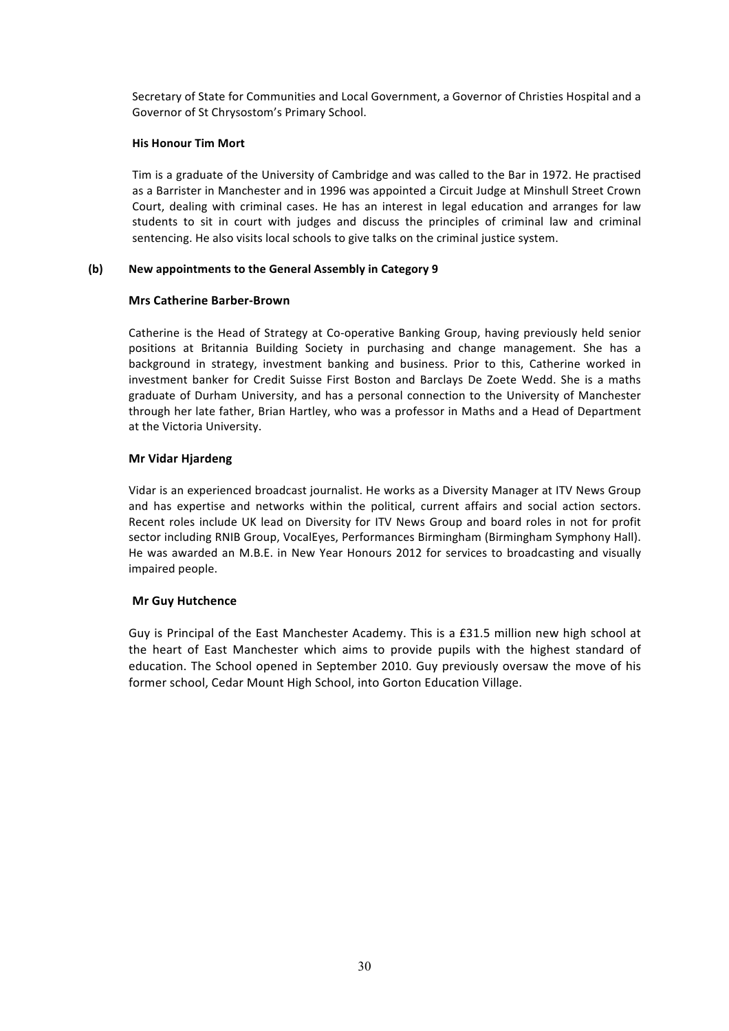Secretary of State for Communities and Local Government, a Governor of Christies Hospital and a Governor of St Chrysostom's Primary School.

# **His Honour Tim Mort**

Tim is a graduate of the University of Cambridge and was called to the Bar in 1972. He practised as a Barrister in Manchester and in 1996 was appointed a Circuit Judge at Minshull Street Crown Court, dealing with criminal cases. He has an interest in legal education and arranges for law students to sit in court with judges and discuss the principles of criminal law and criminal sentencing. He also visits local schools to give talks on the criminal justice system.

# **(b) New appointments to the General Assembly in Category 9**

# **Mrs Catherine Barber-Brown**

Catherine is the Head of Strategy at Co-operative Banking Group, having previously held senior positions at Britannia Building Society in purchasing and change management. She has a background in strategy, investment banking and business. Prior to this, Catherine worked in investment banker for Credit Suisse First Boston and Barclays De Zoete Wedd. She is a maths graduate of Durham University, and has a personal connection to the University of Manchester through her late father, Brian Hartley, who was a professor in Maths and a Head of Department at the Victoria University.

# **Mr Vidar Hjardeng**

Vidar is an experienced broadcast journalist. He works as a Diversity Manager at ITV News Group and has expertise and networks within the political, current affairs and social action sectors. Recent roles include UK lead on Diversity for ITV News Group and board roles in not for profit sector including RNIB Group, VocalEyes, Performances Birmingham (Birmingham Symphony Hall). He was awarded an M.B.E. in New Year Honours 2012 for services to broadcasting and visually impaired people.

# **Mr Guy Hutchence**

Guy is Principal of the East Manchester Academy. This is a £31.5 million new high school at the heart of East Manchester which aims to provide pupils with the highest standard of education. The School opened in September 2010. Guy previously oversaw the move of his former school, Cedar Mount High School, into Gorton Education Village.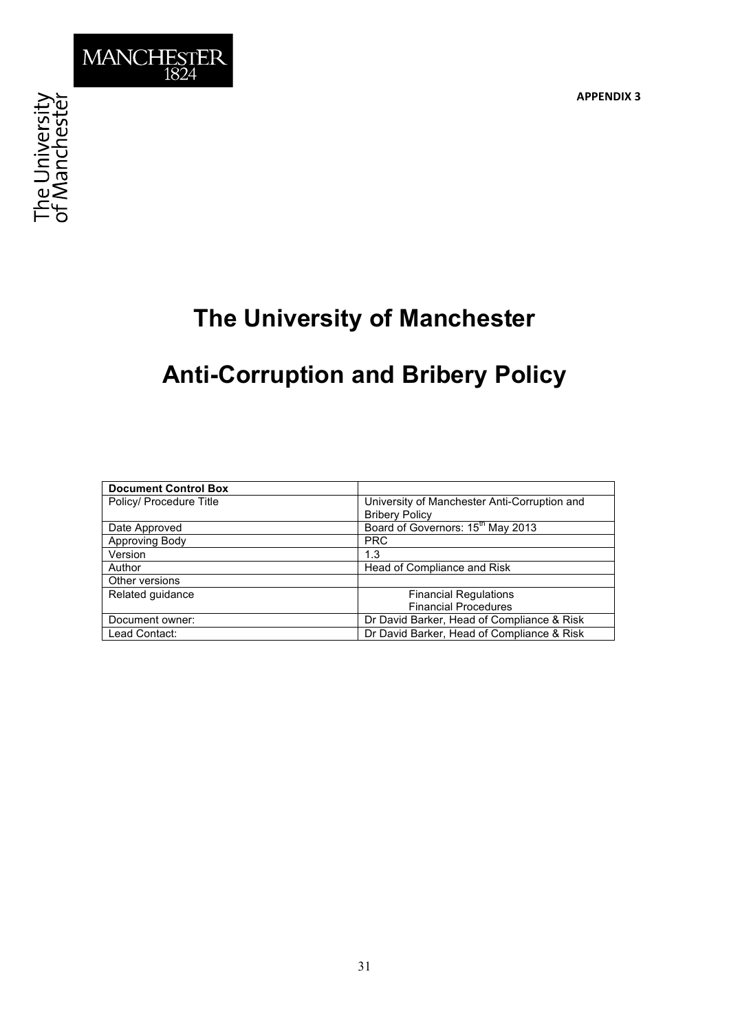**APPENDIX 3**



# **The University of Manchester**

# **Anti-Corruption and Bribery Policy**

| <b>Document Control Box</b> |                                               |
|-----------------------------|-----------------------------------------------|
| Policy/ Procedure Title     | University of Manchester Anti-Corruption and  |
|                             | <b>Bribery Policy</b>                         |
| Date Approved               | Board of Governors: 15 <sup>th</sup> May 2013 |
| Approving Body              | <b>PRC</b>                                    |
| Version                     | 1.3                                           |
| Author                      | Head of Compliance and Risk                   |
| Other versions              |                                               |
| Related guidance            | <b>Financial Regulations</b>                  |
|                             | <b>Financial Procedures</b>                   |
| Document owner:             | Dr David Barker, Head of Compliance & Risk    |
| Lead Contact:               | Dr David Barker, Head of Compliance & Risk    |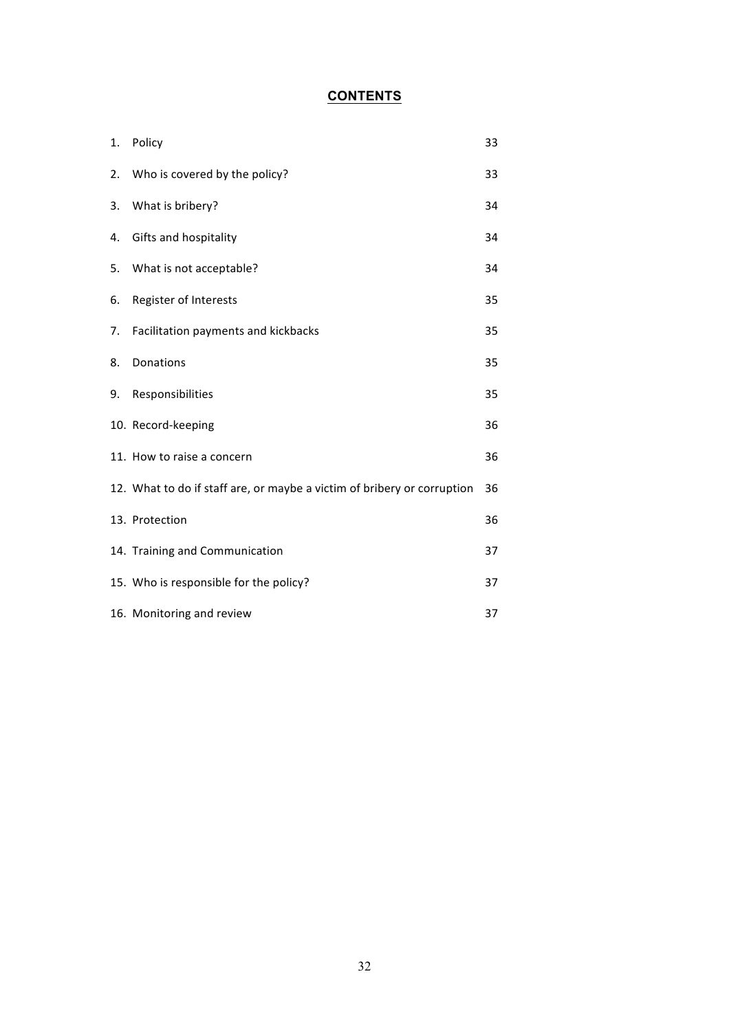# **CONTENTS**

| 1. | Policy                                                                  | 33 |
|----|-------------------------------------------------------------------------|----|
| 2. | Who is covered by the policy?                                           | 33 |
| 3. | What is bribery?                                                        | 34 |
| 4. | Gifts and hospitality                                                   | 34 |
| 5. | What is not acceptable?                                                 | 34 |
| 6. | Register of Interests                                                   | 35 |
| 7. | Facilitation payments and kickbacks                                     | 35 |
| 8. | Donations                                                               | 35 |
| 9. | Responsibilities                                                        | 35 |
|    | 10. Record-keeping                                                      | 36 |
|    | 11. How to raise a concern                                              | 36 |
|    | 12. What to do if staff are, or maybe a victim of bribery or corruption | 36 |
|    | 13. Protection                                                          | 36 |
|    | 14. Training and Communication                                          | 37 |
|    | 15. Who is responsible for the policy?                                  | 37 |
|    | 16. Monitoring and review                                               | 37 |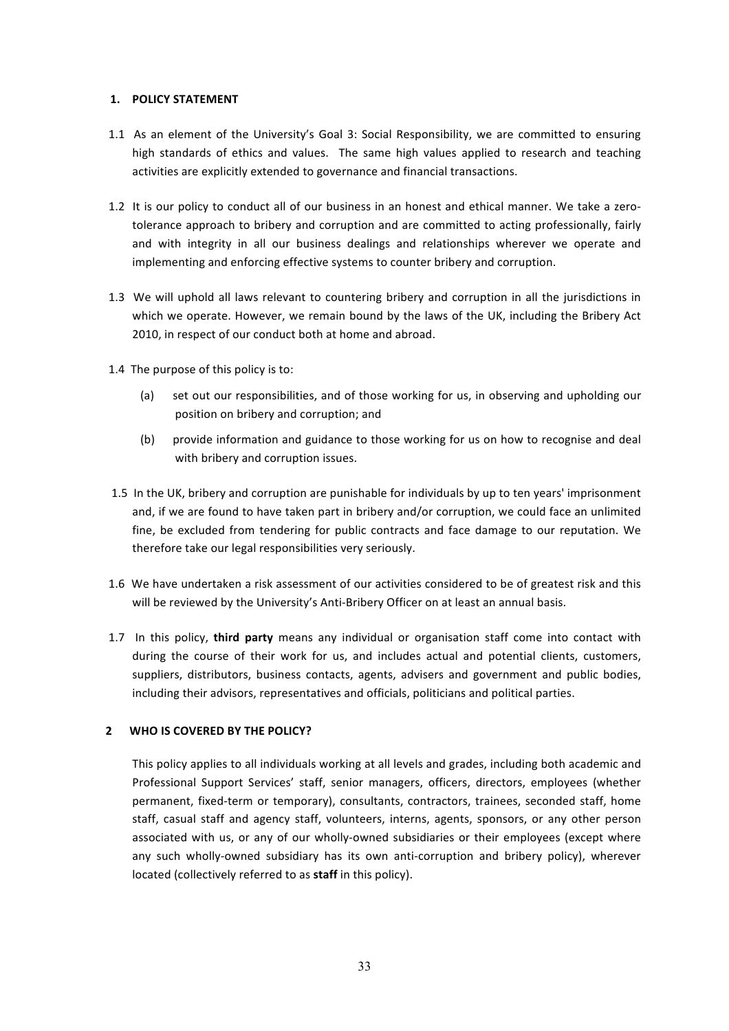# **1. POLICY STATEMENT**

- 1.1 As an element of the University's Goal 3: Social Responsibility, we are committed to ensuring high standards of ethics and values. The same high values applied to research and teaching activities are explicitly extended to governance and financial transactions.
- 1.2 It is our policy to conduct all of our business in an honest and ethical manner. We take a zerotolerance approach to bribery and corruption and are committed to acting professionally, fairly and with integrity in all our business dealings and relationships wherever we operate and implementing and enforcing effective systems to counter bribery and corruption.
- 1.3 We will uphold all laws relevant to countering bribery and corruption in all the jurisdictions in which we operate. However, we remain bound by the laws of the UK, including the Bribery Act 2010, in respect of our conduct both at home and abroad.
- 1.4 The purpose of this policy is to:
	- (a) set out our responsibilities, and of those working for us, in observing and upholding our position on bribery and corruption; and
	- (b) provide information and guidance to those working for us on how to recognise and deal with bribery and corruption issues.
- 1.5 In the UK, bribery and corruption are punishable for individuals by up to ten years' imprisonment and, if we are found to have taken part in bribery and/or corruption, we could face an unlimited fine, be excluded from tendering for public contracts and face damage to our reputation. We therefore take our legal responsibilities very seriously.
- 1.6 We have undertaken a risk assessment of our activities considered to be of greatest risk and this will be reviewed by the University's Anti-Bribery Officer on at least an annual basis.
- 1.7 In this policy, **third party** means any individual or organisation staff come into contact with during the course of their work for us, and includes actual and potential clients, customers, suppliers, distributors, business contacts, agents, advisers and government and public bodies, including their advisors, representatives and officials, politicians and political parties.

# **2 WHO IS COVERED BY THE POLICY?**

This policy applies to all individuals working at all levels and grades, including both academic and Professional Support Services' staff, senior managers, officers, directors, employees (whether permanent, fixed-term or temporary), consultants, contractors, trainees, seconded staff, home staff, casual staff and agency staff, volunteers, interns, agents, sponsors, or any other person associated with us, or any of our wholly-owned subsidiaries or their employees (except where any such wholly-owned subsidiary has its own anti-corruption and bribery policy), wherever located (collectively referred to as staff in this policy).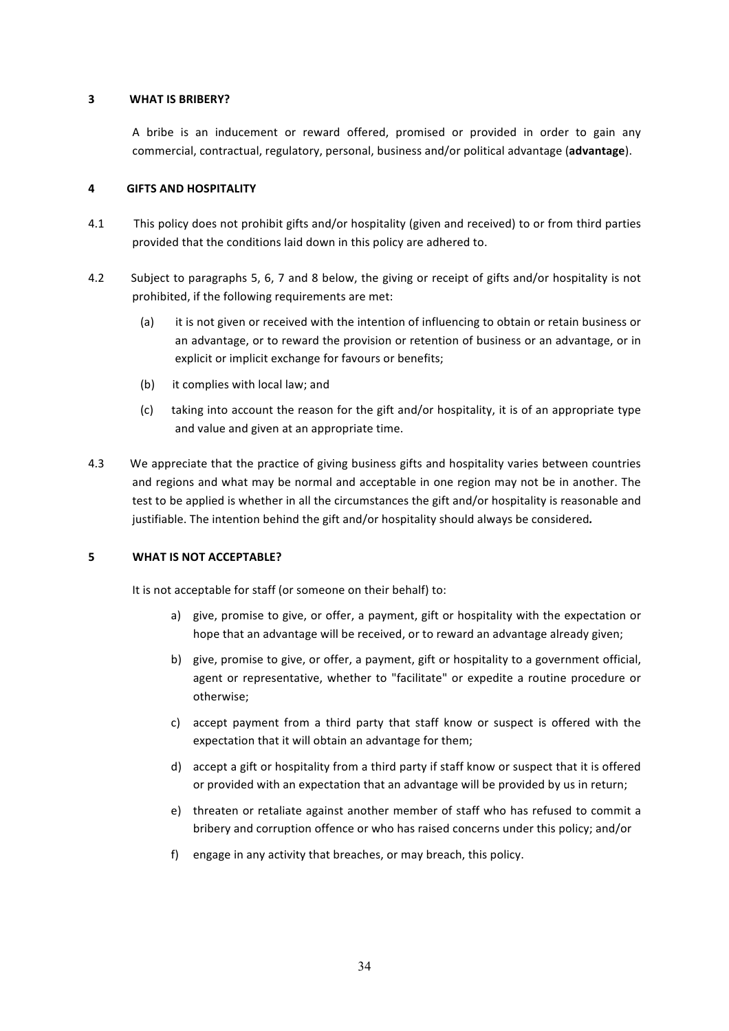# **3 WHAT IS BRIBERY?**

A bribe is an inducement or reward offered, promised or provided in order to gain any commercial, contractual, regulatory, personal, business and/or political advantage (advantage).

# **4 GIFTS AND HOSPITALITY**

- 4.1 This policy does not prohibit gifts and/or hospitality (given and received) to or from third parties provided that the conditions laid down in this policy are adhered to.
- 4.2 Subject to paragraphs 5, 6, 7 and 8 below, the giving or receipt of gifts and/or hospitality is not prohibited, if the following requirements are met:
	- (a) it is not given or received with the intention of influencing to obtain or retain business or an advantage, or to reward the provision or retention of business or an advantage, or in explicit or implicit exchange for favours or benefits;
	- (b) it complies with local law; and
	- (c) taking into account the reason for the gift and/or hospitality, it is of an appropriate type and value and given at an appropriate time.
- 4.3 We appreciate that the practice of giving business gifts and hospitality varies between countries and regions and what may be normal and acceptable in one region may not be in another. The test to be applied is whether in all the circumstances the gift and/or hospitality is reasonable and justifiable. The intention behind the gift and/or hospitality should always be considered.

# **5 WHAT IS NOT ACCEPTABLE?**

It is not acceptable for staff (or someone on their behalf) to:

- a) give, promise to give, or offer, a payment, gift or hospitality with the expectation or hope that an advantage will be received, or to reward an advantage already given;
- b) give, promise to give, or offer, a payment, gift or hospitality to a government official, agent or representative, whether to "facilitate" or expedite a routine procedure or otherwise;
- c) accept payment from a third party that staff know or suspect is offered with the expectation that it will obtain an advantage for them;
- d) accept a gift or hospitality from a third party if staff know or suspect that it is offered or provided with an expectation that an advantage will be provided by us in return;
- e) threaten or retaliate against another member of staff who has refused to commit a bribery and corruption offence or who has raised concerns under this policy; and/or
- f) engage in any activity that breaches, or may breach, this policy.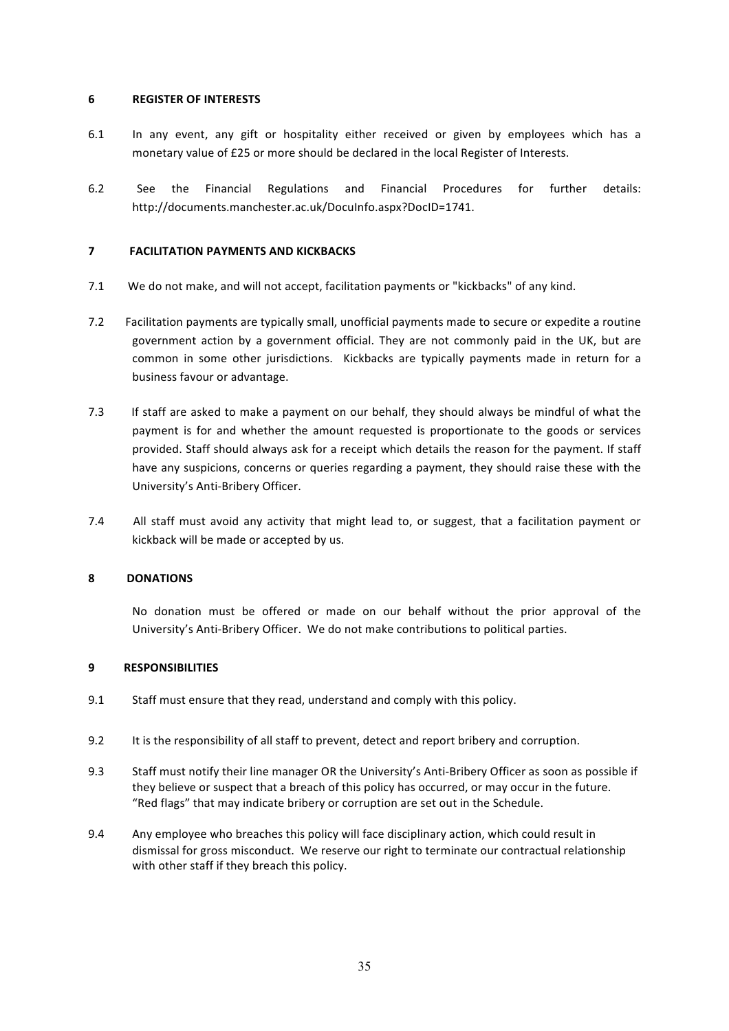# **6 REGISTER OF INTERESTS**

- 6.1 In any event, any gift or hospitality either received or given by employees which has a monetary value of £25 or more should be declared in the local Register of Interests.
- 6.2 See the Financial Regulations and Financial Procedures for further details: http://documents.manchester.ac.uk/DocuInfo.aspx?DocID=1741.

# **7 FACILITATION PAYMENTS AND KICKBACKS**

- 7.1 We do not make, and will not accept, facilitation payments or "kickbacks" of any kind.
- 7.2 Facilitation payments are typically small, unofficial payments made to secure or expedite a routine government action by a government official. They are not commonly paid in the UK, but are common in some other jurisdictions. Kickbacks are typically payments made in return for a business favour or advantage.
- 7.3 If staff are asked to make a payment on our behalf, they should always be mindful of what the payment is for and whether the amount requested is proportionate to the goods or services provided. Staff should always ask for a receipt which details the reason for the payment. If staff have any suspicions, concerns or queries regarding a payment, they should raise these with the University's Anti-Bribery Officer.
- 7.4 All staff must avoid any activity that might lead to, or suggest, that a facilitation payment or kickback will be made or accepted by us.

# **8 DONATIONS**

No donation must be offered or made on our behalf without the prior approval of the University's Anti-Bribery Officer. We do not make contributions to political parties.

# **9** RESPONSIBILITIES

- 9.1 Staff must ensure that they read, understand and comply with this policy.
- 9.2 It is the responsibility of all staff to prevent, detect and report bribery and corruption.
- 9.3 Staff must notify their line manager OR the University's Anti-Bribery Officer as soon as possible if they believe or suspect that a breach of this policy has occurred, or may occur in the future. "Red flags" that may indicate bribery or corruption are set out in the Schedule.
- 9.4 Any employee who breaches this policy will face disciplinary action, which could result in dismissal for gross misconduct. We reserve our right to terminate our contractual relationship with other staff if they breach this policy.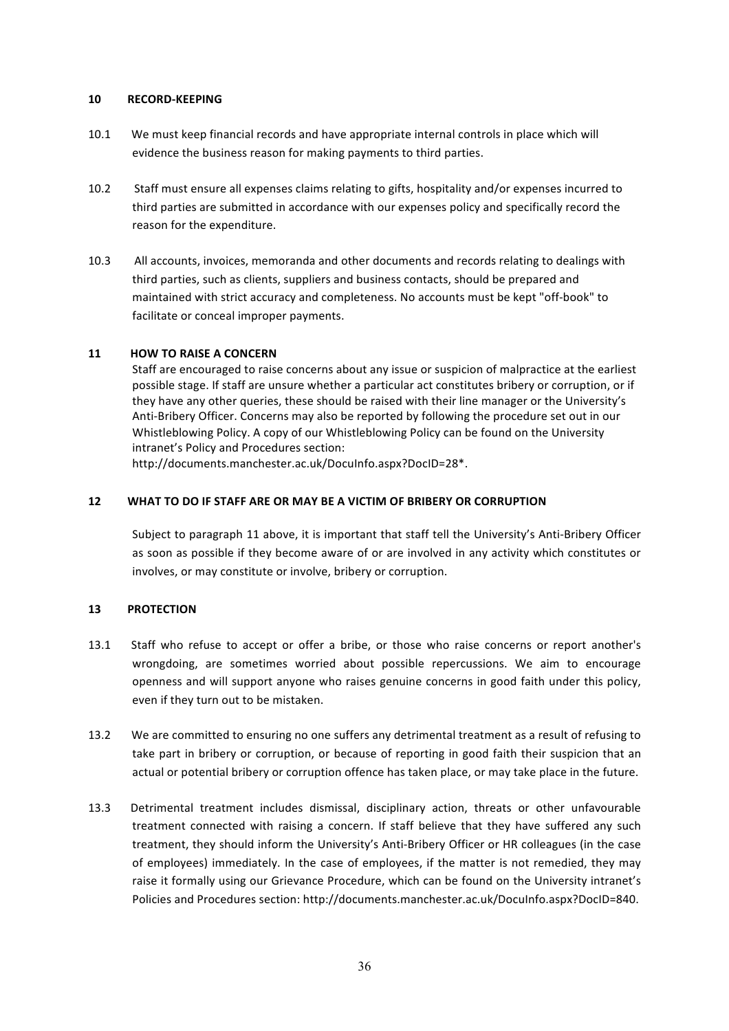# **10 RECORD-KEEPING**

- 10.1 We must keep financial records and have appropriate internal controls in place which will evidence the business reason for making payments to third parties.
- 10.2 Staff must ensure all expenses claims relating to gifts, hospitality and/or expenses incurred to third parties are submitted in accordance with our expenses policy and specifically record the reason for the expenditure.
- 10.3 All accounts, invoices, memoranda and other documents and records relating to dealings with third parties, such as clients, suppliers and business contacts, should be prepared and maintained with strict accuracy and completeness. No accounts must be kept "off-book" to facilitate or conceal improper payments.

# **11 HOW TO RAISE A CONCERN**

Staff are encouraged to raise concerns about any issue or suspicion of malpractice at the earliest possible stage. If staff are unsure whether a particular act constitutes bribery or corruption, or if they have any other queries, these should be raised with their line manager or the University's Anti-Bribery Officer. Concerns may also be reported by following the procedure set out in our Whistleblowing Policy. A copy of our Whistleblowing Policy can be found on the University intranet's Policy and Procedures section:

http://documents.manchester.ac.uk/DocuInfo.aspx?DocID=28\*.

# **12** WHAT TO DO IF STAFF ARE OR MAY BE A VICTIM OF BRIBERY OR CORRUPTION

Subject to paragraph 11 above, it is important that staff tell the University's Anti-Bribery Officer as soon as possible if they become aware of or are involved in any activity which constitutes or involves, or may constitute or involve, bribery or corruption.

# **13** PROTECTION

- 13.1 Staff who refuse to accept or offer a bribe, or those who raise concerns or report another's wrongdoing, are sometimes worried about possible repercussions. We aim to encourage openness and will support anyone who raises genuine concerns in good faith under this policy, even if they turn out to be mistaken.
- 13.2 We are committed to ensuring no one suffers any detrimental treatment as a result of refusing to take part in bribery or corruption, or because of reporting in good faith their suspicion that an actual or potential bribery or corruption offence has taken place, or may take place in the future.
- 13.3 Detrimental treatment includes dismissal, disciplinary action, threats or other unfavourable treatment connected with raising a concern. If staff believe that they have suffered any such treatment, they should inform the University's Anti-Bribery Officer or HR colleagues (in the case of employees) immediately. In the case of employees, if the matter is not remedied, they may raise it formally using our Grievance Procedure, which can be found on the University intranet's Policies and Procedures section: http://documents.manchester.ac.uk/DocuInfo.aspx?DocID=840.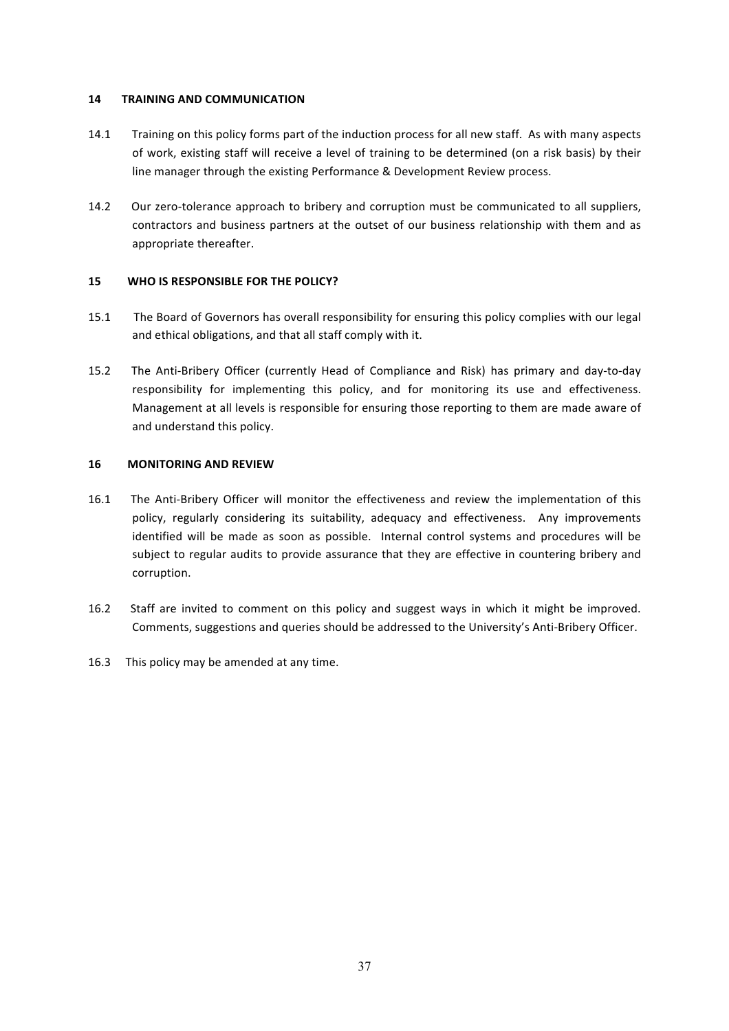# **14 TRAINING AND COMMUNICATION**

- 14.1 Training on this policy forms part of the induction process for all new staff. As with many aspects of work, existing staff will receive a level of training to be determined (on a risk basis) by their line manager through the existing Performance & Development Review process.
- 14.2 Our zero-tolerance approach to bribery and corruption must be communicated to all suppliers, contractors and business partners at the outset of our business relationship with them and as appropriate thereafter.

# **15** WHO IS RESPONSIBLE FOR THE POLICY?

- 15.1 The Board of Governors has overall responsibility for ensuring this policy complies with our legal and ethical obligations, and that all staff comply with it.
- 15.2 The Anti-Bribery Officer (currently Head of Compliance and Risk) has primary and day-to-day responsibility for implementing this policy, and for monitoring its use and effectiveness. Management at all levels is responsible for ensuring those reporting to them are made aware of and understand this policy.

# **16 MONITORING AND REVIEW**

- 16.1 The Anti-Bribery Officer will monitor the effectiveness and review the implementation of this policy, regularly considering its suitability, adequacy and effectiveness. Any improvements identified will be made as soon as possible. Internal control systems and procedures will be subject to regular audits to provide assurance that they are effective in countering bribery and corruption.
- 16.2 Staff are invited to comment on this policy and suggest ways in which it might be improved. Comments, suggestions and queries should be addressed to the University's Anti-Bribery Officer.
- 16.3 This policy may be amended at any time.